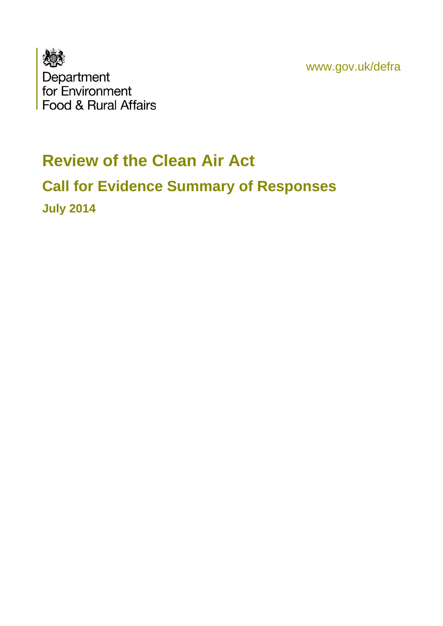www.gov.uk/defra



# **Review of the Clean Air Act Call for Evidence Summary of Responses July 2014**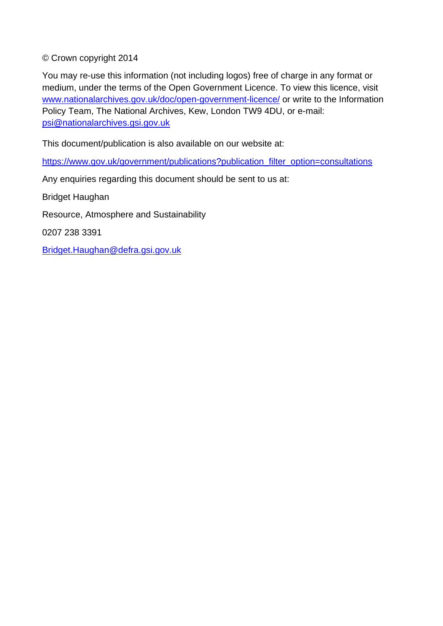© Crown copyright 2014

You may re-use this information (not including logos) free of charge in any format or medium, under the terms of the Open Government Licence. To view this licence, visit [www.nationalarchives.gov.uk/doc/open-government-licence/](http://www.nationalarchives.gov.uk/doc/open-government-licence/) or write to the Information Policy Team, The National Archives, Kew, London TW9 4DU, or e-mail: [psi@nationalarchives.gsi.gov.uk](mailto:psi@nationalarchives.gsi.gov.uk)

This document/publication is also available on our website at:

[https://www.gov.uk/government/publications?publication\\_filter\\_option=consultations](https://www.gov.uk/government/publications?publication_filter_option=consultations)

Any enquiries regarding this document should be sent to us at:

Bridget Haughan

Resource, Atmosphere and Sustainability

0207 238 3391

Bridget.Haughan@defra.gsi.gov.uk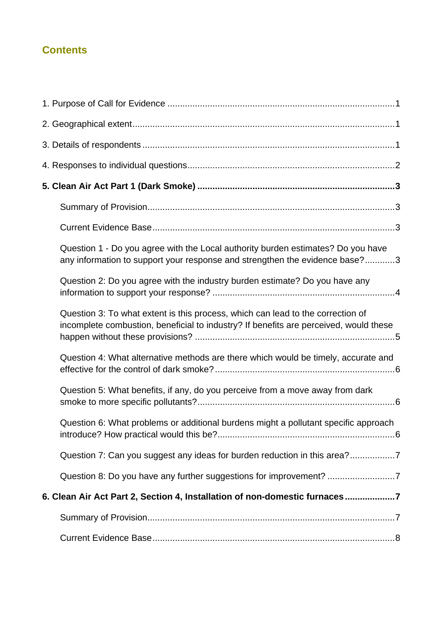## **Contents**

| Question 1 - Do you agree with the Local authority burden estimates? Do you have<br>any information to support your response and strengthen the evidence base?3          |  |
|--------------------------------------------------------------------------------------------------------------------------------------------------------------------------|--|
| Question 2: Do you agree with the industry burden estimate? Do you have any                                                                                              |  |
| Question 3: To what extent is this process, which can lead to the correction of<br>incomplete combustion, beneficial to industry? If benefits are perceived, would these |  |
| Question 4: What alternative methods are there which would be timely, accurate and                                                                                       |  |
| Question 5: What benefits, if any, do you perceive from a move away from dark                                                                                            |  |
| Question 6: What problems or additional burdens might a pollutant specific approach                                                                                      |  |
| Question 7: Can you suggest any ideas for burden reduction in this area?7                                                                                                |  |
|                                                                                                                                                                          |  |
| 6. Clean Air Act Part 2, Section 4, Installation of non-domestic furnaces7                                                                                               |  |
|                                                                                                                                                                          |  |
|                                                                                                                                                                          |  |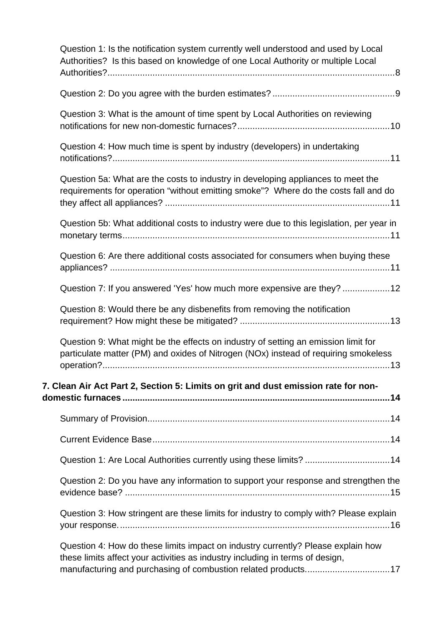| Question 1: Is the notification system currently well understood and used by Local<br>Authorities? Is this based on knowledge of one Local Authority or multiple Local    |
|---------------------------------------------------------------------------------------------------------------------------------------------------------------------------|
|                                                                                                                                                                           |
| Question 3: What is the amount of time spent by Local Authorities on reviewing                                                                                            |
| Question 4: How much time is spent by industry (developers) in undertaking                                                                                                |
| Question 5a: What are the costs to industry in developing appliances to meet the<br>requirements for operation "without emitting smoke"? Where do the costs fall and do   |
| Question 5b: What additional costs to industry were due to this legislation, per year in                                                                                  |
| Question 6: Are there additional costs associated for consumers when buying these                                                                                         |
| Question 7: If you answered 'Yes' how much more expensive are they? 12                                                                                                    |
| Question 8: Would there be any disbenefits from removing the notification                                                                                                 |
| Question 9: What might be the effects on industry of setting an emission limit for<br>particulate matter (PM) and oxides of Nitrogen (NOx) instead of requiring smokeless |
| 7. Clean Air Act Part 2, Section 5: Limits on grit and dust emission rate for non-                                                                                        |
|                                                                                                                                                                           |
|                                                                                                                                                                           |
| Question 1: Are Local Authorities currently using these limits? 14                                                                                                        |
|                                                                                                                                                                           |
| Question 2: Do you have any information to support your response and strengthen the                                                                                       |
| Question 3: How stringent are these limits for industry to comply with? Please explain                                                                                    |
| Question 4: How do these limits impact on industry currently? Please explain how<br>these limits affect your activities as industry including in terms of design,         |
| manufacturing and purchasing of combustion related products17                                                                                                             |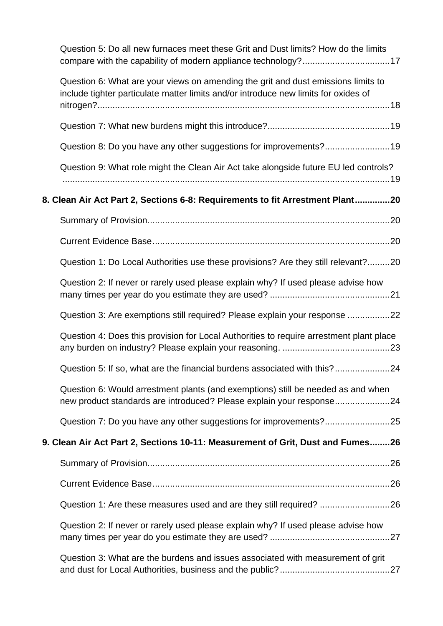[Question 5: Do all new furnaces meet these Grit and Dust limits? How do the limits](#page-23-1)  [compare with the capability of modern appliance technology?...................................17](#page-23-1)

| Question 6: What are your views on amending the grit and dust emissions limits to<br>include tighter particulate matter limits and/or introduce new limits for oxides of |  |
|--------------------------------------------------------------------------------------------------------------------------------------------------------------------------|--|
|                                                                                                                                                                          |  |
|                                                                                                                                                                          |  |
| Question 8: Do you have any other suggestions for improvements?19                                                                                                        |  |
| Question 9: What role might the Clean Air Act take alongside future EU led controls?                                                                                     |  |
| 8. Clean Air Act Part 2, Sections 6-8: Requirements to fit Arrestment Plant20                                                                                            |  |
|                                                                                                                                                                          |  |
|                                                                                                                                                                          |  |
| Question 1: Do Local Authorities use these provisions? Are they still relevant?20                                                                                        |  |
| Question 2: If never or rarely used please explain why? If used please advise how                                                                                        |  |
| Question 3: Are exemptions still required? Please explain your response 22                                                                                               |  |
| Question 4: Does this provision for Local Authorities to require arrestment plant place                                                                                  |  |
| Question 5: If so, what are the financial burdens associated with this?24                                                                                                |  |
| Question 6: Would arrestment plants (and exemptions) still be needed as and when<br>new product standards are introduced? Please explain your response24                 |  |
|                                                                                                                                                                          |  |
| 9. Clean Air Act Part 2, Sections 10-11: Measurement of Grit, Dust and Fumes26                                                                                           |  |
|                                                                                                                                                                          |  |
|                                                                                                                                                                          |  |
|                                                                                                                                                                          |  |
| Question 2: If never or rarely used please explain why? If used please advise how                                                                                        |  |
| Question 3: What are the burdens and issues associated with measurement of grit                                                                                          |  |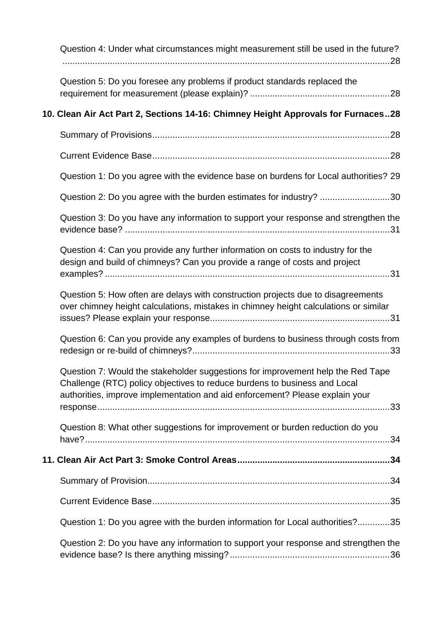| Question 4: Under what circumstances might measurement still be used in the future?                                                                                                                                                          |
|----------------------------------------------------------------------------------------------------------------------------------------------------------------------------------------------------------------------------------------------|
| Question 5: Do you foresee any problems if product standards replaced the                                                                                                                                                                    |
| 10. Clean Air Act Part 2, Sections 14-16: Chimney Height Approvals for Furnaces28                                                                                                                                                            |
|                                                                                                                                                                                                                                              |
|                                                                                                                                                                                                                                              |
| Question 1: Do you agree with the evidence base on burdens for Local authorities? 29                                                                                                                                                         |
| Question 2: Do you agree with the burden estimates for industry? 30                                                                                                                                                                          |
| Question 3: Do you have any information to support your response and strengthen the                                                                                                                                                          |
| Question 4: Can you provide any further information on costs to industry for the<br>design and build of chimneys? Can you provide a range of costs and project                                                                               |
| Question 5: How often are delays with construction projects due to disagreements<br>over chimney height calculations, mistakes in chimney height calculations or similar                                                                     |
| Question 6: Can you provide any examples of burdens to business through costs from                                                                                                                                                           |
| Question 7: Would the stakeholder suggestions for improvement help the Red Tape<br>Challenge (RTC) policy objectives to reduce burdens to business and Local<br>authorities, improve implementation and aid enforcement? Please explain your |
| Question 8: What other suggestions for improvement or burden reduction do you                                                                                                                                                                |
|                                                                                                                                                                                                                                              |
|                                                                                                                                                                                                                                              |
|                                                                                                                                                                                                                                              |
| Question 1: Do you agree with the burden information for Local authorities?35                                                                                                                                                                |
| Question 2: Do you have any information to support your response and strengthen the                                                                                                                                                          |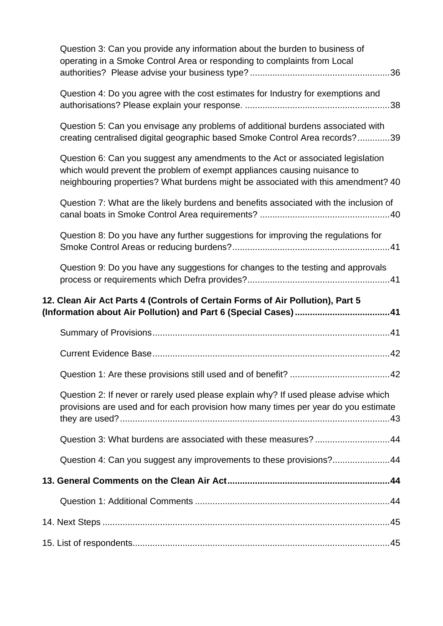| Question 3: Can you provide any information about the burden to business of<br>operating in a Smoke Control Area or responding to complaints from Local                                                                                          |
|--------------------------------------------------------------------------------------------------------------------------------------------------------------------------------------------------------------------------------------------------|
| Question 4: Do you agree with the cost estimates for Industry for exemptions and                                                                                                                                                                 |
| Question 5: Can you envisage any problems of additional burdens associated with<br>creating centralised digital geographic based Smoke Control Area records?39                                                                                   |
| Question 6: Can you suggest any amendments to the Act or associated legislation<br>which would prevent the problem of exempt appliances causing nuisance to<br>neighbouring properties? What burdens might be associated with this amendment? 40 |
| Question 7: What are the likely burdens and benefits associated with the inclusion of                                                                                                                                                            |
| Question 8: Do you have any further suggestions for improving the regulations for                                                                                                                                                                |
| Question 9: Do you have any suggestions for changes to the testing and approvals                                                                                                                                                                 |
|                                                                                                                                                                                                                                                  |
| 12. Clean Air Act Parts 4 (Controls of Certain Forms of Air Pollution), Part 5                                                                                                                                                                   |
|                                                                                                                                                                                                                                                  |
|                                                                                                                                                                                                                                                  |
|                                                                                                                                                                                                                                                  |
| Question 2: If never or rarely used please explain why? If used please advise which<br>provisions are used and for each provision how many times per year do you estimate                                                                        |
| Question 3: What burdens are associated with these measures?44                                                                                                                                                                                   |
| Question 4: Can you suggest any improvements to these provisions?44                                                                                                                                                                              |
|                                                                                                                                                                                                                                                  |
|                                                                                                                                                                                                                                                  |
|                                                                                                                                                                                                                                                  |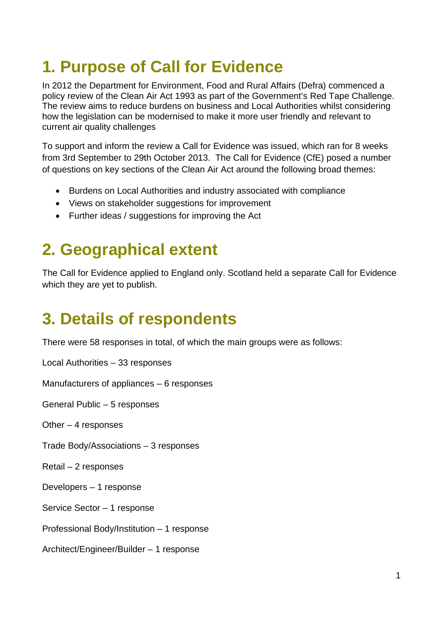# <span id="page-7-0"></span>**1. Purpose of Call for Evidence**

In 2012 the Department for Environment, Food and Rural Affairs (Defra) commenced a policy review of the Clean Air Act 1993 as part of the Government's Red Tape Challenge. The review aims to reduce burdens on business and Local Authorities whilst considering how the legislation can be modernised to make it more user friendly and relevant to current air quality challenges

To support and inform the review a Call for Evidence was issued, which ran for 8 weeks from 3rd September to 29th October 2013. The Call for Evidence (CfE) posed a number of questions on key sections of the Clean Air Act around the following broad themes:

- Burdens on Local Authorities and industry associated with compliance
- Views on stakeholder suggestions for improvement
- Further ideas / suggestions for improving the Act

# <span id="page-7-1"></span>**2. Geographical extent**

The Call for Evidence applied to England only. Scotland held a separate Call for Evidence which they are yet to publish.

# <span id="page-7-2"></span>**3. Details of respondents**

There were 58 responses in total, of which the main groups were as follows:

Local Authorities – 33 responses

Manufacturers of appliances – 6 responses

General Public – 5 responses

Other  $-4$  responses

Trade Body/Associations – 3 responses

Retail – 2 responses

Developers – 1 response

Service Sector – 1 response

Professional Body/Institution – 1 response

Architect/Engineer/Builder – 1 response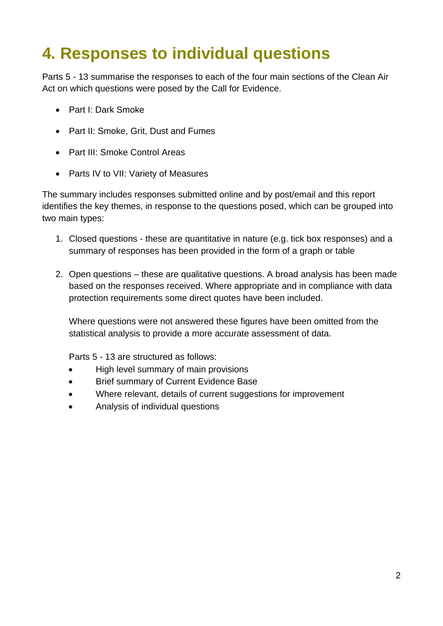# <span id="page-8-0"></span>**4. Responses to individual questions**

Parts 5 - 13 summarise the responses to each of the four main sections of the Clean Air Act on which questions were posed by the Call for Evidence.

- Part I: Dark Smoke
- Part II: Smoke, Grit, Dust and Fumes
- Part III: Smoke Control Areas
- Parts IV to VII: Variety of Measures

The summary includes responses submitted online and by post/email and this report identifies the key themes, in response to the questions posed, which can be grouped into two main types:

- 1. Closed questions these are quantitative in nature (e.g. tick box responses) and a summary of responses has been provided in the form of a graph or table
- 2. Open questions these are qualitative questions. A broad analysis has been made based on the responses received. Where appropriate and in compliance with data protection requirements some direct quotes have been included.

Where questions were not answered these figures have been omitted from the statistical analysis to provide a more accurate assessment of data.

Parts 5 - 13 are structured as follows:

- High level summary of main provisions
- Brief summary of Current Evidence Base
- Where relevant, details of current suggestions for improvement
- Analysis of individual questions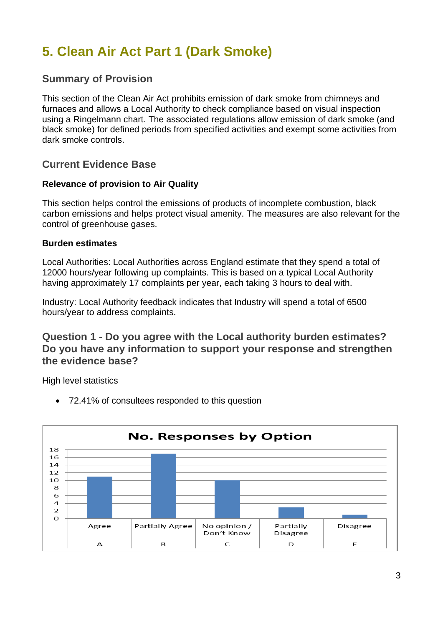## <span id="page-9-0"></span>**5. Clean Air Act Part 1 (Dark Smoke)**

## <span id="page-9-1"></span>**Summary of Provision**

This section of the Clean Air Act prohibits emission of dark smoke from chimneys and furnaces and allows a Local Authority to check compliance based on visual inspection using a Ringelmann chart. The associated regulations allow emission of dark smoke (and black smoke) for defined periods from specified activities and exempt some activities from dark smoke controls.

## <span id="page-9-2"></span>**Current Evidence Base**

#### **Relevance of provision to Air Quality**

This section helps control the emissions of products of incomplete combustion, black carbon emissions and helps protect visual amenity. The measures are also relevant for the control of greenhouse gases.

#### **Burden estimates**

Local Authorities: Local Authorities across England estimate that they spend a total of 12000 hours/year following up complaints. This is based on a typical Local Authority having approximately 17 complaints per year, each taking 3 hours to deal with.

Industry: Local Authority feedback indicates that Industry will spend a total of 6500 hours/year to address complaints.

## <span id="page-9-3"></span>**Question 1 - Do you agree with the Local authority burden estimates? Do you have any information to support your response and strengthen the evidence base?**

High level statistics

• 72.41% of consultees responded to this question

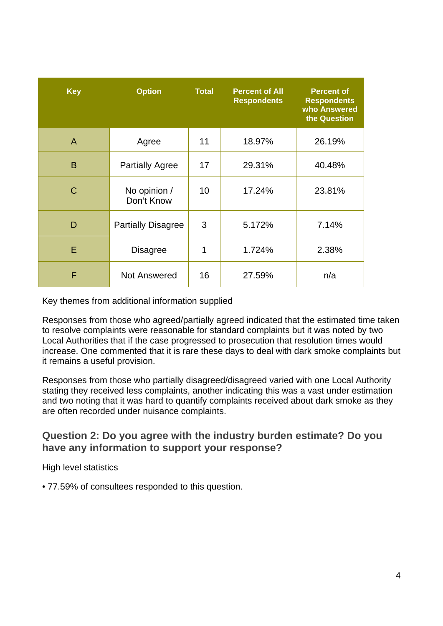| <b>Key</b> | <b>Option</b>              | <b>Total</b> | <b>Percent of All</b><br><b>Respondents</b> | <b>Percent of</b><br><b>Respondents</b><br>who Answered<br>the Question |
|------------|----------------------------|--------------|---------------------------------------------|-------------------------------------------------------------------------|
| A          | Agree                      | 11           | 18.97%                                      | 26.19%                                                                  |
| B          | <b>Partially Agree</b>     | 17           | 29.31%                                      | 40.48%                                                                  |
| C          | No opinion /<br>Don't Know | 10           | 17.24%                                      | 23.81%                                                                  |
| D          | <b>Partially Disagree</b>  | 3            | 5.172%                                      | 7.14%                                                                   |
| Е          | <b>Disagree</b>            | 1            | 1.724%                                      | 2.38%                                                                   |
| F          | <b>Not Answered</b>        | 16           | 27.59%                                      | n/a                                                                     |

Key themes from additional information supplied

Responses from those who agreed/partially agreed indicated that the estimated time taken to resolve complaints were reasonable for standard complaints but it was noted by two Local Authorities that if the case progressed to prosecution that resolution times would increase. One commented that it is rare these days to deal with dark smoke complaints but it remains a useful provision.

Responses from those who partially disagreed/disagreed varied with one Local Authority stating they received less complaints, another indicating this was a vast under estimation and two noting that it was hard to quantify complaints received about dark smoke as they are often recorded under nuisance complaints.

## <span id="page-10-0"></span>**Question 2: Do you agree with the industry burden estimate? Do you have any information to support your response?**

High level statistics

• 77.59% of consultees responded to this question.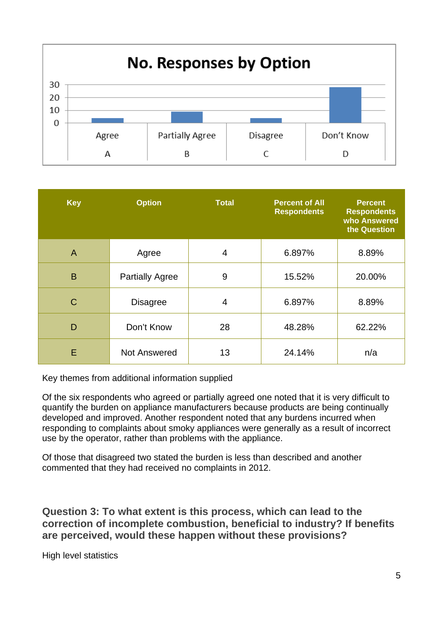

| <b>Key</b>     | <b>Option</b>          | <b>Total</b>   | <b>Percent of All</b><br><b>Respondents</b> | <b>Percent</b><br><b>Respondents</b><br>who Answered<br>the Question |
|----------------|------------------------|----------------|---------------------------------------------|----------------------------------------------------------------------|
| $\overline{A}$ | Agree                  | $\overline{4}$ | 6.897%                                      | 8.89%                                                                |
| B              | <b>Partially Agree</b> | 9              | 15.52%                                      | 20.00%                                                               |
| C              | <b>Disagree</b>        | 4              | 6.897%                                      | 8.89%                                                                |
| D              | Don't Know             | 28             | 48.28%                                      | 62.22%                                                               |
| E              | Not Answered           | 13             | 24.14%                                      | n/a                                                                  |

Key themes from additional information supplied

Of the six respondents who agreed or partially agreed one noted that it is very difficult to quantify the burden on appliance manufacturers because products are being continually developed and improved. Another respondent noted that any burdens incurred when responding to complaints about smoky appliances were generally as a result of incorrect use by the operator, rather than problems with the appliance.

Of those that disagreed two stated the burden is less than described and another commented that they had received no complaints in 2012.

<span id="page-11-0"></span>**Question 3: To what extent is this process, which can lead to the correction of incomplete combustion, beneficial to industry? If benefits are perceived, would these happen without these provisions?**

High level statistics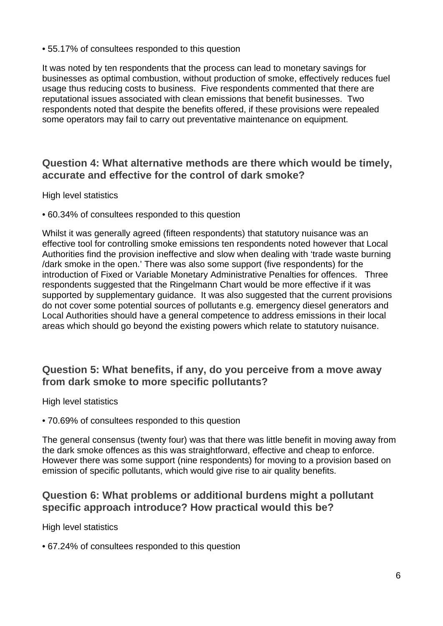• 55.17% of consultees responded to this question

It was noted by ten respondents that the process can lead to monetary savings for businesses as optimal combustion, without production of smoke, effectively reduces fuel usage thus reducing costs to business. Five respondents commented that there are reputational issues associated with clean emissions that benefit businesses. Two respondents noted that despite the benefits offered, if these provisions were repealed some operators may fail to carry out preventative maintenance on equipment.

## <span id="page-12-0"></span>**Question 4: What alternative methods are there which would be timely, accurate and effective for the control of dark smoke?**

High level statistics

• 60.34% of consultees responded to this question

Whilst it was generally agreed (fifteen respondents) that statutory nuisance was an effective tool for controlling smoke emissions ten respondents noted however that Local Authorities find the provision ineffective and slow when dealing with 'trade waste burning /dark smoke in the open.' There was also some support (five respondents) for the introduction of Fixed or Variable Monetary Administrative Penalties for offences. Three respondents suggested that the Ringelmann Chart would be more effective if it was supported by supplementary guidance. It was also suggested that the current provisions do not cover some potential sources of pollutants e.g. emergency diesel generators and Local Authorities should have a general competence to address emissions in their local areas which should go beyond the existing powers which relate to statutory nuisance.

## <span id="page-12-1"></span>**Question 5: What benefits, if any, do you perceive from a move away from dark smoke to more specific pollutants?**

High level statistics

• 70.69% of consultees responded to this question

The general consensus (twenty four) was that there was little benefit in moving away from the dark smoke offences as this was straightforward, effective and cheap to enforce. However there was some support (nine respondents) for moving to a provision based on emission of specific pollutants, which would give rise to air quality benefits.

## <span id="page-12-2"></span>**Question 6: What problems or additional burdens might a pollutant specific approach introduce? How practical would this be?**

High level statistics

• 67.24% of consultees responded to this question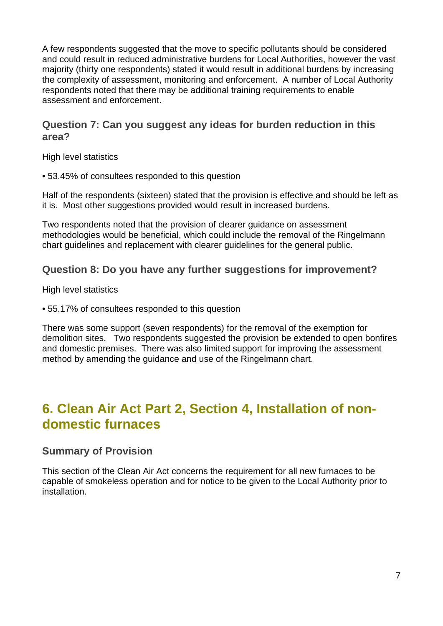A few respondents suggested that the move to specific pollutants should be considered and could result in reduced administrative burdens for Local Authorities, however the vast majority (thirty one respondents) stated it would result in additional burdens by increasing the complexity of assessment, monitoring and enforcement. A number of Local Authority respondents noted that there may be additional training requirements to enable assessment and enforcement.

## <span id="page-13-0"></span>**Question 7: Can you suggest any ideas for burden reduction in this area?**

High level statistics

• 53.45% of consultees responded to this question

Half of the respondents (sixteen) stated that the provision is effective and should be left as it is. Most other suggestions provided would result in increased burdens.

Two respondents noted that the provision of clearer guidance on assessment methodologies would be beneficial, which could include the removal of the Ringelmann chart guidelines and replacement with clearer guidelines for the general public.

## <span id="page-13-1"></span>**Question 8: Do you have any further suggestions for improvement?**

High level statistics

• 55.17% of consultees responded to this question

There was some support (seven respondents) for the removal of the exemption for demolition sites. Two respondents suggested the provision be extended to open bonfires and domestic premises. There was also limited support for improving the assessment method by amending the guidance and use of the Ringelmann chart.

## <span id="page-13-2"></span>**6. Clean Air Act Part 2, Section 4, Installation of nondomestic furnaces**

## <span id="page-13-3"></span>**Summary of Provision**

This section of the Clean Air Act concerns the requirement for all new furnaces to be capable of smokeless operation and for notice to be given to the Local Authority prior to installation.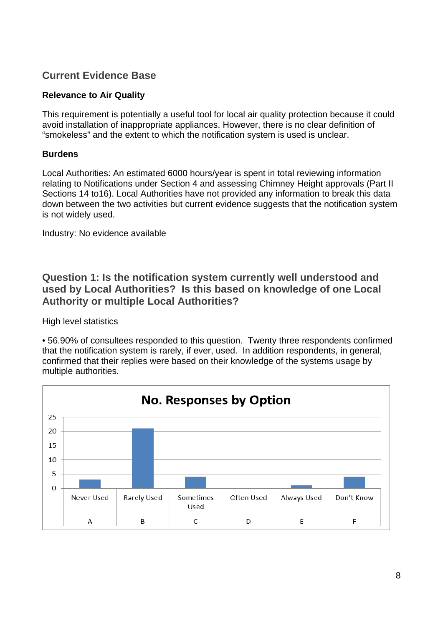## <span id="page-14-0"></span>**Current Evidence Base**

#### **Relevance to Air Quality**

This requirement is potentially a useful tool for local air quality protection because it could avoid installation of inappropriate appliances. However, there is no clear definition of "smokeless" and the extent to which the notification system is used is unclear.

#### **Burdens**

Local Authorities: An estimated 6000 hours/year is spent in total reviewing information relating to Notifications under Section 4 and assessing Chimney Height approvals (Part II Sections 14 to16). Local Authorities have not provided any information to break this data down between the two activities but current evidence suggests that the notification system is not widely used.

Industry: No evidence available

## <span id="page-14-1"></span>**Question 1: Is the notification system currently well understood and used by Local Authorities? Is this based on knowledge of one Local Authority or multiple Local Authorities?**

High level statistics

• 56.90% of consultees responded to this question. Twenty three respondents confirmed that the notification system is rarely, if ever, used. In addition respondents, in general, confirmed that their replies were based on their knowledge of the systems usage by multiple authorities.

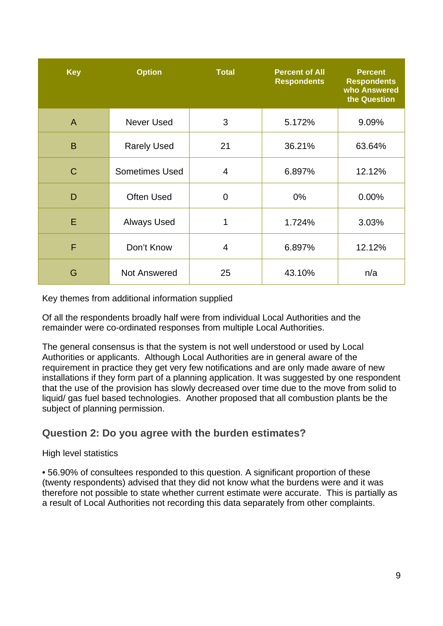| <b>Key</b>   | <b>Option</b>         | <b>Total</b>   | <b>Percent of All</b><br><b>Respondents</b> | <b>Percent</b><br><b>Respondents</b><br>who Answered<br>the Question |
|--------------|-----------------------|----------------|---------------------------------------------|----------------------------------------------------------------------|
| A            | <b>Never Used</b>     | 3              | 5.172%                                      | 9.09%                                                                |
| B            | <b>Rarely Used</b>    | 21             | 36.21%                                      | 63.64%                                                               |
| $\mathsf{C}$ | <b>Sometimes Used</b> | $\overline{4}$ | 6.897%                                      | 12.12%                                                               |
| D            | <b>Often Used</b>     | $\mathbf 0$    | $0\%$                                       | 0.00%                                                                |
| E            | <b>Always Used</b>    | 1              | 1.724%                                      | 3.03%                                                                |
| F            | Don't Know            | 4              | 6.897%                                      | 12.12%                                                               |
| G            | <b>Not Answered</b>   | 25             | 43.10%                                      | n/a                                                                  |

Key themes from additional information supplied

Of all the respondents broadly half were from individual Local Authorities and the remainder were co-ordinated responses from multiple Local Authorities.

The general consensus is that the system is not well understood or used by Local Authorities or applicants. Although Local Authorities are in general aware of the requirement in practice they get very few notifications and are only made aware of new installations if they form part of a planning application. It was suggested by one respondent that the use of the provision has slowly decreased over time due to the move from solid to liquid/ gas fuel based technologies. Another proposed that all combustion plants be the subject of planning permission.

## <span id="page-15-0"></span>**Question 2: Do you agree with the burden estimates?**

#### High level statistics

• 56.90% of consultees responded to this question. A significant proportion of these (twenty respondents) advised that they did not know what the burdens were and it was therefore not possible to state whether current estimate were accurate. This is partially as a result of Local Authorities not recording this data separately from other complaints.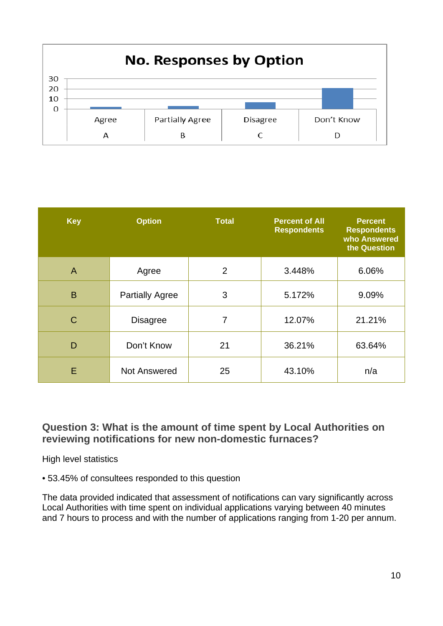

| <b>Key</b>     | <b>Option</b>          | <b>Total</b> | <b>Percent of All</b><br><b>Respondents</b> | <b>Percent</b><br><b>Respondents</b><br>who Answered<br>the Question |
|----------------|------------------------|--------------|---------------------------------------------|----------------------------------------------------------------------|
| $\overline{A}$ | Agree                  | 2            | 3.448%                                      | 6.06%                                                                |
| B              | <b>Partially Agree</b> | 3            | 5.172%                                      | 9.09%                                                                |
| C              | <b>Disagree</b>        | 7            | 12.07%                                      | 21.21%                                                               |
| D              | Don't Know             | 21           | 36.21%                                      | 63.64%                                                               |
| E              | <b>Not Answered</b>    | 25           | 43.10%                                      | n/a                                                                  |

## <span id="page-16-0"></span>**Question 3: What is the amount of time spent by Local Authorities on reviewing notifications for new non-domestic furnaces?**

High level statistics

• 53.45% of consultees responded to this question

The data provided indicated that assessment of notifications can vary significantly across Local Authorities with time spent on individual applications varying between 40 minutes and 7 hours to process and with the number of applications ranging from 1-20 per annum.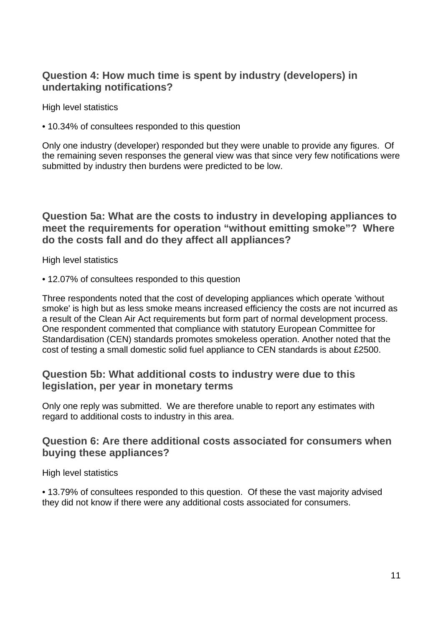## <span id="page-17-0"></span>**Question 4: How much time is spent by industry (developers) in undertaking notifications?**

High level statistics

• 10.34% of consultees responded to this question

Only one industry (developer) responded but they were unable to provide any figures. Of the remaining seven responses the general view was that since very few notifications were submitted by industry then burdens were predicted to be low.

<span id="page-17-1"></span>**Question 5a: What are the costs to industry in developing appliances to meet the requirements for operation "without emitting smoke"? Where do the costs fall and do they affect all appliances?**

High level statistics

• 12.07% of consultees responded to this question

Three respondents noted that the cost of developing appliances which operate 'without smoke' is high but as less smoke means increased efficiency the costs are not incurred as a result of the Clean Air Act requirements but form part of normal development process. One respondent commented that compliance with statutory European Committee for Standardisation (CEN) standards promotes smokeless operation. Another noted that the cost of testing a small domestic solid fuel appliance to CEN standards is about £2500.

## <span id="page-17-2"></span>**Question 5b: What additional costs to industry were due to this legislation, per year in monetary terms**

Only one reply was submitted. We are therefore unable to report any estimates with regard to additional costs to industry in this area.

## <span id="page-17-3"></span>**Question 6: Are there additional costs associated for consumers when buying these appliances?**

High level statistics

• 13.79% of consultees responded to this question. Of these the vast majority advised they did not know if there were any additional costs associated for consumers.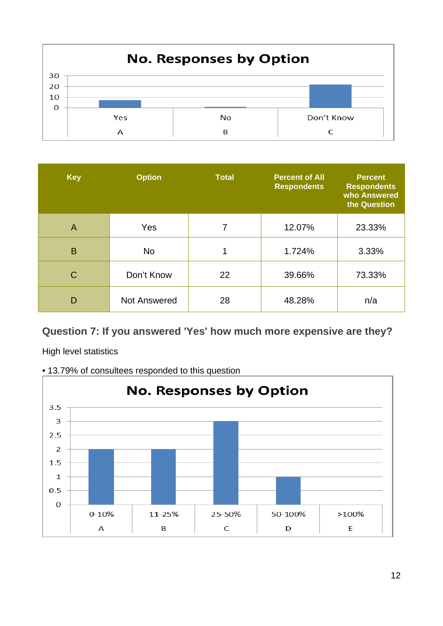

| <b>Key</b>     | <b>Option</b> | <b>Total</b> | <b>Percent of All</b><br><b>Respondents</b> | <b>Percent</b><br><b>Respondents</b><br>who Answered<br>the Question |
|----------------|---------------|--------------|---------------------------------------------|----------------------------------------------------------------------|
| $\overline{A}$ | Yes           | 7            | 12.07%                                      | 23.33%                                                               |
| B              | <b>No</b>     | 1            | 1.724%                                      | 3.33%                                                                |
| C              | Don't Know    | 22           | 39.66%                                      | 73.33%                                                               |
| D              | Not Answered  | 28           | 48.28%                                      | n/a                                                                  |

## <span id="page-18-0"></span>**Question 7: If you answered 'Yes' how much more expensive are they?**

High level statistics



• 13.79% of consultees responded to this question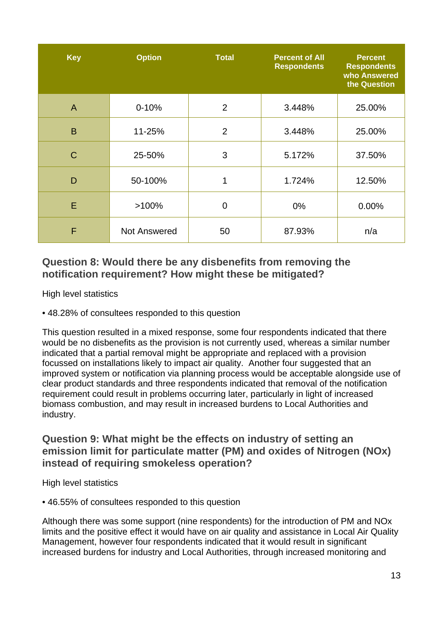| <b>Key</b>   | <b>Option</b>       | <b>Total</b>   | <b>Percent of All</b><br><b>Respondents</b> | <b>Percent</b><br><b>Respondents</b><br>who Answered<br>the Question |
|--------------|---------------------|----------------|---------------------------------------------|----------------------------------------------------------------------|
| $\mathsf{A}$ | $0 - 10%$           | 2              | 3.448%                                      | 25.00%                                                               |
| B            | 11-25%              | $\overline{2}$ | 3.448%                                      | 25.00%                                                               |
| $\mathsf{C}$ | 25-50%              | 3              | 5.172%                                      | 37.50%                                                               |
| D            | 50-100%             | 1              | 1.724%                                      | 12.50%                                                               |
| E            | $>100\%$            | $\overline{0}$ | $0\%$                                       | 0.00%                                                                |
| F            | <b>Not Answered</b> | 50             | 87.93%                                      | n/a                                                                  |

## <span id="page-19-0"></span>**Question 8: Would there be any disbenefits from removing the notification requirement? How might these be mitigated?**

High level statistics

• 48.28% of consultees responded to this question

This question resulted in a mixed response, some four respondents indicated that there would be no disbenefits as the provision is not currently used, whereas a similar number indicated that a partial removal might be appropriate and replaced with a provision focussed on installations likely to impact air quality. Another four suggested that an improved system or notification via planning process would be acceptable alongside use of clear product standards and three respondents indicated that removal of the notification requirement could result in problems occurring later, particularly in light of increased biomass combustion, and may result in increased burdens to Local Authorities and industry.

## <span id="page-19-1"></span>**Question 9: What might be the effects on industry of setting an emission limit for particulate matter (PM) and oxides of Nitrogen (NOx) instead of requiring smokeless operation?**

High level statistics

• 46.55% of consultees responded to this question

Although there was some support (nine respondents) for the introduction of PM and NOx limits and the positive effect it would have on air quality and assistance in Local Air Quality Management, however four respondents indicated that it would result in significant increased burdens for industry and Local Authorities, through increased monitoring and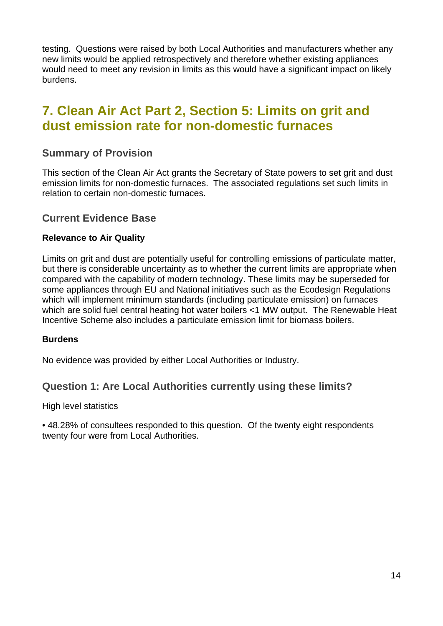testing. Questions were raised by both Local Authorities and manufacturers whether any new limits would be applied retrospectively and therefore whether existing appliances would need to meet any revision in limits as this would have a significant impact on likely burdens.

## <span id="page-20-0"></span>**7. Clean Air Act Part 2, Section 5: Limits on grit and dust emission rate for non-domestic furnaces**

### <span id="page-20-1"></span>**Summary of Provision**

This section of the Clean Air Act grants the Secretary of State powers to set grit and dust emission limits for non-domestic furnaces. The associated regulations set such limits in relation to certain non-domestic furnaces.

### <span id="page-20-2"></span>**Current Evidence Base**

#### **Relevance to Air Quality**

Limits on grit and dust are potentially useful for controlling emissions of particulate matter, but there is considerable uncertainty as to whether the current limits are appropriate when compared with the capability of modern technology. These limits may be superseded for some appliances through EU and National initiatives such as the Ecodesign Regulations which will implement minimum standards (including particulate emission) on furnaces which are solid fuel central heating hot water boilers <1 MW output. The Renewable Heat Incentive Scheme also includes a particulate emission limit for biomass boilers.

#### **Burdens**

No evidence was provided by either Local Authorities or Industry.

#### <span id="page-20-3"></span>**Question 1: Are Local Authorities currently using these limits?**

High level statistics

• 48.28% of consultees responded to this question. Of the twenty eight respondents twenty four were from Local Authorities.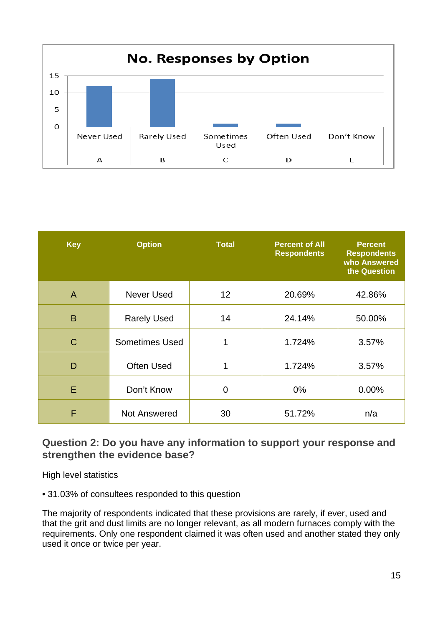

| <b>Key</b>   | <b>Option</b>         | <b>Total</b> | <b>Percent of All</b><br><b>Respondents</b> | <b>Percent</b><br><b>Respondents</b><br>who Answered<br>the Question |
|--------------|-----------------------|--------------|---------------------------------------------|----------------------------------------------------------------------|
| $\mathsf{A}$ | Never Used            | 12           | 20.69%                                      | 42.86%                                                               |
| B            | <b>Rarely Used</b>    | 14           | 24.14%                                      | 50.00%                                                               |
| $\mathsf{C}$ | <b>Sometimes Used</b> | 1            | 1.724%                                      | 3.57%                                                                |
| D            | <b>Often Used</b>     | 1            | 1.724%                                      | 3.57%                                                                |
| E            | Don't Know            | 0            | $0\%$                                       | 0.00%                                                                |
| F            | <b>Not Answered</b>   | 30           | 51.72%                                      | n/a                                                                  |

## <span id="page-21-0"></span>**Question 2: Do you have any information to support your response and strengthen the evidence base?**

High level statistics

• 31.03% of consultees responded to this question

The majority of respondents indicated that these provisions are rarely, if ever, used and that the grit and dust limits are no longer relevant, as all modern furnaces comply with the requirements. Only one respondent claimed it was often used and another stated they only used it once or twice per year.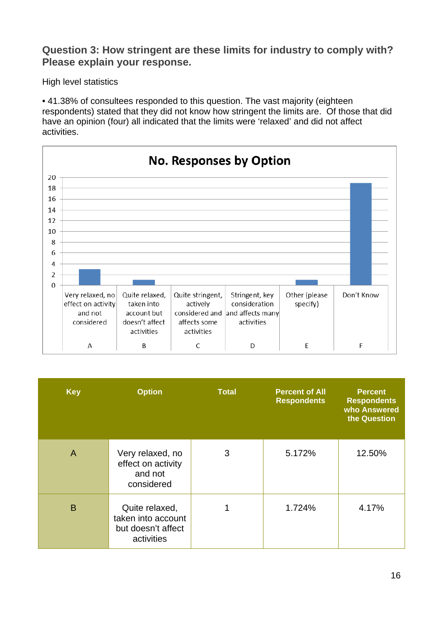## <span id="page-22-0"></span>**Question 3: How stringent are these limits for industry to comply with? Please explain your response.**

High level statistics

• 41.38% of consultees responded to this question. The vast majority (eighteen respondents) stated that they did not know how stringent the limits are. Of those that did have an opinion (four) all indicated that the limits were 'relaxed' and did not affect activities.



| <b>Key</b> | <b>Option</b>                                                            | <b>Total</b> | <b>Percent of All</b><br><b>Respondents</b> | <b>Percent</b><br><b>Respondents</b><br>who Answered<br>the Question |
|------------|--------------------------------------------------------------------------|--------------|---------------------------------------------|----------------------------------------------------------------------|
| A          | Very relaxed, no<br>effect on activity<br>and not<br>considered          | 3            | 5.172%                                      | 12.50%                                                               |
| B          | Quite relaxed,<br>taken into account<br>but doesn't affect<br>activities |              | 1.724%                                      | 4.17%                                                                |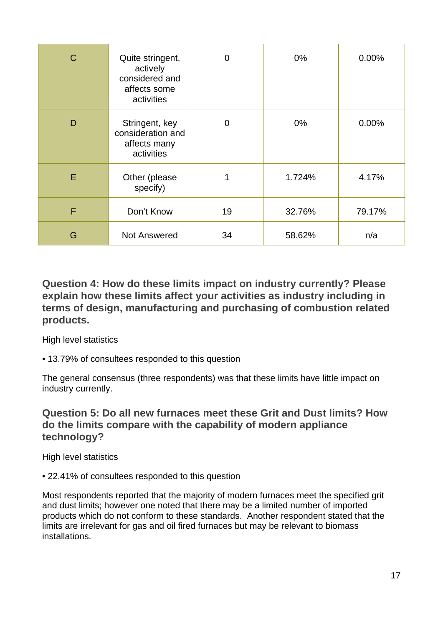| C | Quite stringent,<br>actively<br>considered and<br>affects some<br>activities | $\overline{0}$ | $0\%$  | 0.00%  |
|---|------------------------------------------------------------------------------|----------------|--------|--------|
| D | Stringent, key<br>consideration and<br>affects many<br>activities            | $\overline{0}$ | $0\%$  | 0.00%  |
| E | Other (please<br>specify)                                                    |                | 1.724% | 4.17%  |
| F | Don't Know                                                                   | 19             | 32.76% | 79.17% |
| G | <b>Not Answered</b>                                                          | 34             | 58.62% | n/a    |

<span id="page-23-0"></span>**Question 4: How do these limits impact on industry currently? Please explain how these limits affect your activities as industry including in terms of design, manufacturing and purchasing of combustion related products.**

High level statistics

• 13.79% of consultees responded to this question

The general consensus (three respondents) was that these limits have little impact on industry currently.

## <span id="page-23-1"></span>**Question 5: Do all new furnaces meet these Grit and Dust limits? How do the limits compare with the capability of modern appliance technology?**

High level statistics

• 22.41% of consultees responded to this question

Most respondents reported that the majority of modern furnaces meet the specified grit and dust limits; however one noted that there may be a limited number of imported products which do not conform to these standards. Another respondent stated that the limits are irrelevant for gas and oil fired furnaces but may be relevant to biomass installations.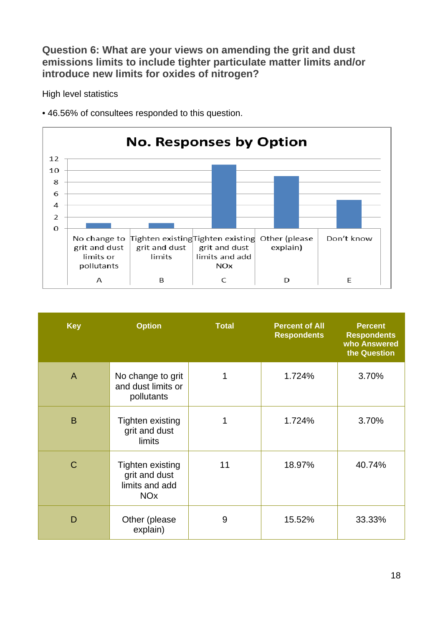<span id="page-24-0"></span>**Question 6: What are your views on amending the grit and dust emissions limits to include tighter particulate matter limits and/or introduce new limits for oxides of nitrogen?**

High level statistics





| <b>Key</b>     | <b>Option</b>                                                                | <b>Total</b> | <b>Percent of All</b><br><b>Respondents</b> | <b>Percent</b><br><b>Respondents</b><br>who Answered<br>the Question |
|----------------|------------------------------------------------------------------------------|--------------|---------------------------------------------|----------------------------------------------------------------------|
| $\overline{A}$ | No change to grit<br>and dust limits or<br>pollutants                        |              | 1.724%                                      | 3.70%                                                                |
| B              | <b>Tighten existing</b><br>grit and dust<br>limits                           |              | 1.724%                                      | 3.70%                                                                |
| $\mathcal{C}$  | Tighten existing<br>grit and dust<br>limits and add<br><b>NO<sub>x</sub></b> | 11           | 18.97%                                      | 40.74%                                                               |
| D              | Other (please<br>explain)                                                    | 9            | 15.52%                                      | 33.33%                                                               |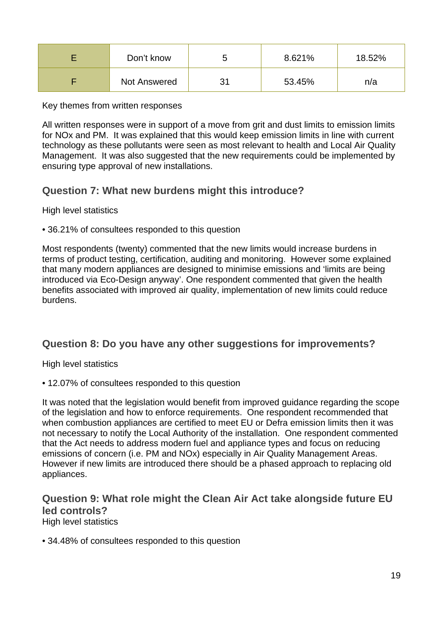| Don't know   | ∽ | 8.621% | 18.52% |
|--------------|---|--------|--------|
| Not Answered |   | 53.45% | n/a    |

Key themes from written responses

All written responses were in support of a move from grit and dust limits to emission limits for NOx and PM. It was explained that this would keep emission limits in line with current technology as these pollutants were seen as most relevant to health and Local Air Quality Management. It was also suggested that the new requirements could be implemented by ensuring type approval of new installations.

## <span id="page-25-0"></span>**Question 7: What new burdens might this introduce?**

High level statistics

• 36.21% of consultees responded to this question

Most respondents (twenty) commented that the new limits would increase burdens in terms of product testing, certification, auditing and monitoring. However some explained that many modern appliances are designed to minimise emissions and 'limits are being introduced via Eco-Design anyway'. One respondent commented that given the health benefits associated with improved air quality, implementation of new limits could reduce burdens.

## <span id="page-25-1"></span>**Question 8: Do you have any other suggestions for improvements?**

High level statistics

• 12.07% of consultees responded to this question

It was noted that the legislation would benefit from improved guidance regarding the scope of the legislation and how to enforce requirements. One respondent recommended that when combustion appliances are certified to meet EU or Defra emission limits then it was not necessary to notify the Local Authority of the installation. One respondent commented that the Act needs to address modern fuel and appliance types and focus on reducing emissions of concern (i.e. PM and NOx) especially in Air Quality Management Areas. However if new limits are introduced there should be a phased approach to replacing old appliances.

## <span id="page-25-2"></span>**Question 9: What role might the Clean Air Act take alongside future EU led controls?**

High level statistics

• 34.48% of consultees responded to this question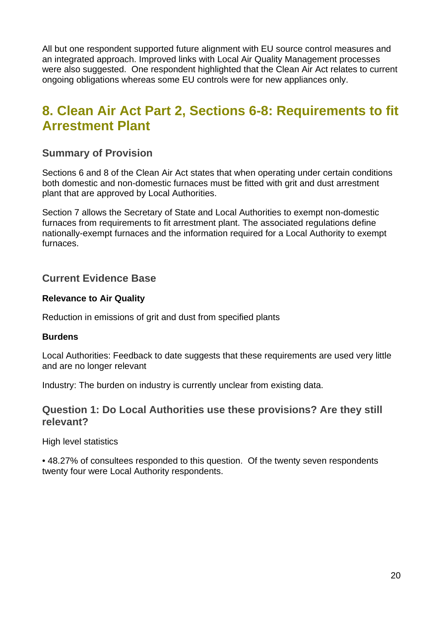All but one respondent supported future alignment with EU source control measures and an integrated approach. Improved links with Local Air Quality Management processes were also suggested. One respondent highlighted that the Clean Air Act relates to current ongoing obligations whereas some EU controls were for new appliances only.

## <span id="page-26-0"></span>**8. Clean Air Act Part 2, Sections 6-8: Requirements to fit Arrestment Plant**

## <span id="page-26-1"></span>**Summary of Provision**

Sections 6 and 8 of the Clean Air Act states that when operating under certain conditions both domestic and non-domestic furnaces must be fitted with grit and dust arrestment plant that are approved by Local Authorities.

Section 7 allows the Secretary of State and Local Authorities to exempt non-domestic furnaces from requirements to fit arrestment plant. The associated regulations define nationally-exempt furnaces and the information required for a Local Authority to exempt furnaces.

## <span id="page-26-2"></span>**Current Evidence Base**

#### **Relevance to Air Quality**

Reduction in emissions of grit and dust from specified plants

#### **Burdens**

Local Authorities: Feedback to date suggests that these requirements are used very little and are no longer relevant

Industry: The burden on industry is currently unclear from existing data.

### <span id="page-26-3"></span>**Question 1: Do Local Authorities use these provisions? Are they still relevant?**

High level statistics

• 48.27% of consultees responded to this question. Of the twenty seven respondents twenty four were Local Authority respondents.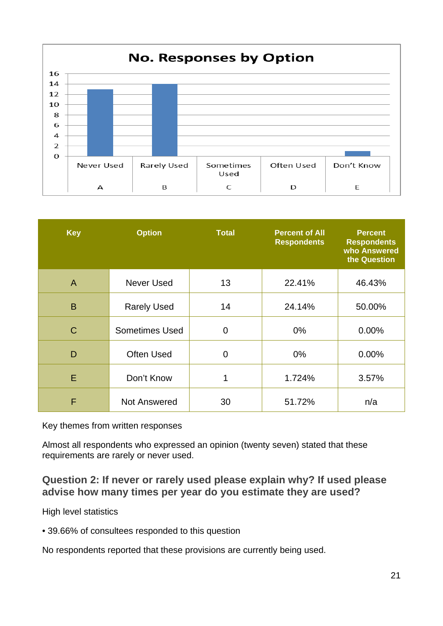

| <b>Key</b>   | <b>Option</b>         | <b>Total</b>   | <b>Percent of All</b><br><b>Respondents</b> | <b>Percent</b><br><b>Respondents</b><br>who Answered<br>the Question |
|--------------|-----------------------|----------------|---------------------------------------------|----------------------------------------------------------------------|
| $\mathsf{A}$ | <b>Never Used</b>     | 13             | 22.41%                                      | 46.43%                                                               |
| B            | <b>Rarely Used</b>    | 14             | 24.14%                                      | 50.00%                                                               |
| C            | <b>Sometimes Used</b> | $\overline{0}$ | $0\%$                                       | 0.00%                                                                |
| D            | <b>Often Used</b>     | 0              | $0\%$                                       | 0.00%                                                                |
| E            | Don't Know            | 1              | 1.724%                                      | 3.57%                                                                |
| F            | Not Answered          | 30             | 51.72%                                      | n/a                                                                  |

Key themes from written responses

Almost all respondents who expressed an opinion (twenty seven) stated that these requirements are rarely or never used.

## <span id="page-27-0"></span>**Question 2: If never or rarely used please explain why? If used please advise how many times per year do you estimate they are used?**

High level statistics

• 39.66% of consultees responded to this question

No respondents reported that these provisions are currently being used.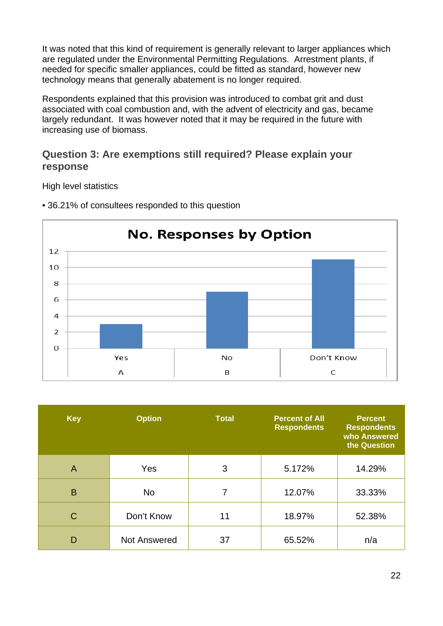It was noted that this kind of requirement is generally relevant to larger appliances which are regulated under the Environmental Permitting Regulations. Arrestment plants, if needed for specific smaller appliances, could be fitted as standard, however new technology means that generally abatement is no longer required.

Respondents explained that this provision was introduced to combat grit and dust associated with coal combustion and, with the advent of electricity and gas, became largely redundant. It was however noted that it may be required in the future with increasing use of biomass.

## <span id="page-28-0"></span>**Question 3: Are exemptions still required? Please explain your response**

High level statistics



• 36.21% of consultees responded to this question

| <b>Key</b>     | <b>Option</b>       | <b>Total</b> | <b>Percent of All</b><br><b>Respondents</b> | <b>Percent</b><br><b>Respondents</b><br>who Answered<br>the Question |
|----------------|---------------------|--------------|---------------------------------------------|----------------------------------------------------------------------|
| $\overline{A}$ | Yes                 | 3            | 5.172%                                      | 14.29%                                                               |
| B              | <b>No</b>           | 7            | 12.07%                                      | 33.33%                                                               |
| $\mathsf{C}$   | Don't Know          | 11           | 18.97%                                      | 52.38%                                                               |
| D              | <b>Not Answered</b> | 37           | 65.52%                                      | n/a                                                                  |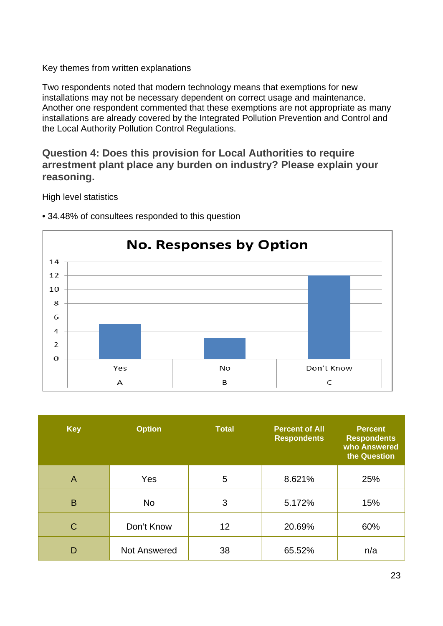Two respondents noted that modern technology means that exemptions for new installations may not be necessary dependent on correct usage and maintenance. Another one respondent commented that these exemptions are not appropriate as many installations are already covered by the Integrated Pollution Prevention and Control and the Local Authority Pollution Control Regulations.

## <span id="page-29-0"></span>**Question 4: Does this provision for Local Authorities to require arrestment plant place any burden on industry? Please explain your reasoning.**

High level statistics



• 34.48% of consultees responded to this question

| <b>Key</b>     | <b>Option</b>       | <b>Total</b> | <b>Percent of All</b><br><b>Respondents</b> | <b>Percent</b><br><b>Respondents</b><br>who Answered<br>the Question |
|----------------|---------------------|--------------|---------------------------------------------|----------------------------------------------------------------------|
| $\overline{A}$ | Yes                 | 5            | 8.621%                                      | 25%                                                                  |
| B              | <b>No</b>           | 3            | 5.172%                                      | 15%                                                                  |
| $\mathsf{C}$   | Don't Know          | 12           | 20.69%                                      | 60%                                                                  |
| D              | <b>Not Answered</b> | 38           | 65.52%                                      | n/a                                                                  |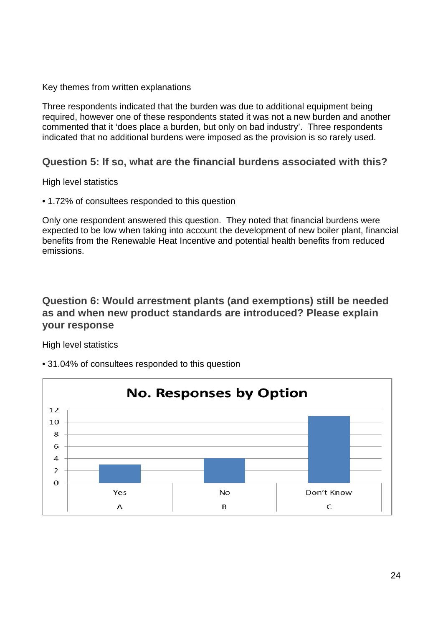Three respondents indicated that the burden was due to additional equipment being required, however one of these respondents stated it was not a new burden and another commented that it 'does place a burden, but only on bad industry'. Three respondents indicated that no additional burdens were imposed as the provision is so rarely used.

## <span id="page-30-0"></span>**Question 5: If so, what are the financial burdens associated with this?**

High level statistics

• 1.72% of consultees responded to this question

Only one respondent answered this question. They noted that financial burdens were expected to be low when taking into account the development of new boiler plant, financial benefits from the Renewable Heat Incentive and potential health benefits from reduced emissions.

## <span id="page-30-1"></span>**Question 6: Would arrestment plants (and exemptions) still be needed as and when new product standards are introduced? Please explain your response**

High level statistics



• 31.04% of consultees responded to this question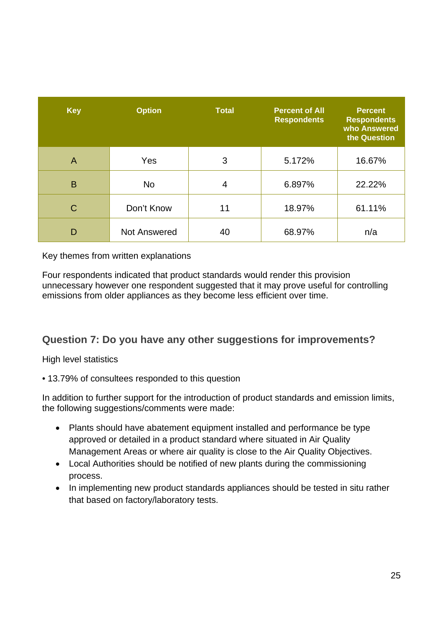| <b>Key</b>     | <b>Option</b>       | <b>Total</b> | <b>Percent of All</b><br><b>Respondents</b> | <b>Percent</b><br><b>Respondents</b><br>who Answered<br>the Question |
|----------------|---------------------|--------------|---------------------------------------------|----------------------------------------------------------------------|
| $\overline{A}$ | Yes                 | 3            | 5.172%                                      | 16.67%                                                               |
| B              | <b>No</b>           | 4            | 6.897%                                      | 22.22%                                                               |
| C              | Don't Know          | 11           | 18.97%                                      | 61.11%                                                               |
| D              | <b>Not Answered</b> | 40           | 68.97%                                      | n/a                                                                  |

Four respondents indicated that product standards would render this provision unnecessary however one respondent suggested that it may prove useful for controlling emissions from older appliances as they become less efficient over time.

## <span id="page-31-0"></span>**Question 7: Do you have any other suggestions for improvements?**

High level statistics

• 13.79% of consultees responded to this question

In addition to further support for the introduction of product standards and emission limits, the following suggestions/comments were made:

- Plants should have abatement equipment installed and performance be type approved or detailed in a product standard where situated in Air Quality Management Areas or where air quality is close to the Air Quality Objectives.
- Local Authorities should be notified of new plants during the commissioning process.
- In implementing new product standards appliances should be tested in situ rather that based on factory/laboratory tests.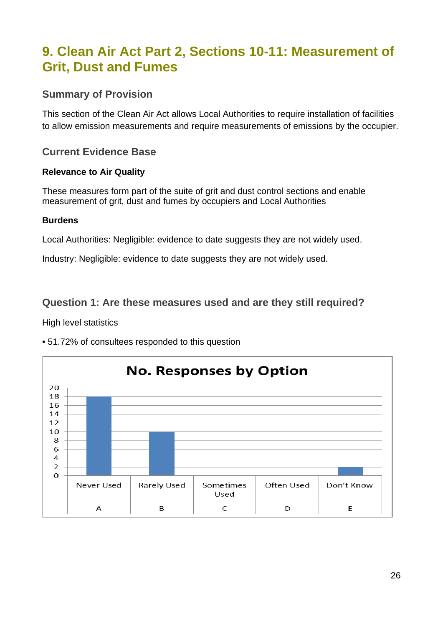## <span id="page-32-0"></span>**9. Clean Air Act Part 2, Sections 10-11: Measurement of Grit, Dust and Fumes**

## <span id="page-32-1"></span>**Summary of Provision**

This section of the Clean Air Act allows Local Authorities to require installation of facilities to allow emission measurements and require measurements of emissions by the occupier.

## <span id="page-32-2"></span>**Current Evidence Base**

#### **Relevance to Air Quality**

These measures form part of the suite of grit and dust control sections and enable measurement of grit, dust and fumes by occupiers and Local Authorities

#### **Burdens**

Local Authorities: Negligible: evidence to date suggests they are not widely used.

Industry: Negligible: evidence to date suggests they are not widely used.

## <span id="page-32-3"></span>**Question 1: Are these measures used and are they still required?**

High level statistics



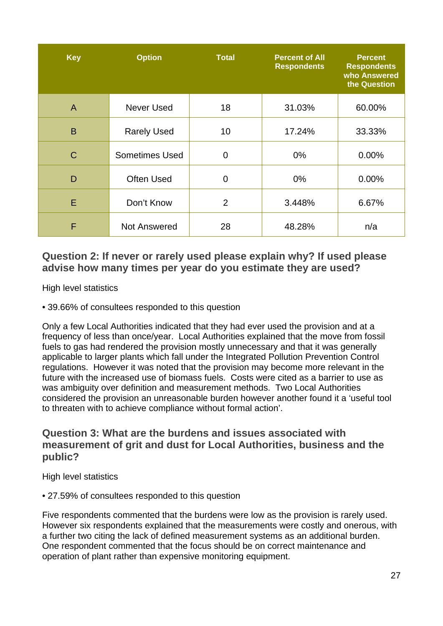| <b>Key</b>   | <b>Option</b>         | <b>Total</b>   | <b>Percent of All</b><br><b>Respondents</b> | <b>Percent</b><br><b>Respondents</b><br>who Answered<br>the Question |
|--------------|-----------------------|----------------|---------------------------------------------|----------------------------------------------------------------------|
| A            | Never Used            | 18             | 31.03%                                      | 60.00%                                                               |
| B            | <b>Rarely Used</b>    | 10             | 17.24%                                      | 33.33%                                                               |
| $\mathsf{C}$ | <b>Sometimes Used</b> | $\overline{0}$ | $0\%$                                       | 0.00%                                                                |
| D            | <b>Often Used</b>     | 0              | $0\%$                                       | 0.00%                                                                |
| E            | Don't Know            | $\overline{2}$ | 3.448%                                      | 6.67%                                                                |
| F            | <b>Not Answered</b>   | 28             | 48.28%                                      | n/a                                                                  |

## <span id="page-33-0"></span>**Question 2: If never or rarely used please explain why? If used please advise how many times per year do you estimate they are used?**

High level statistics

• 39.66% of consultees responded to this question

Only a few Local Authorities indicated that they had ever used the provision and at a frequency of less than once/year. Local Authorities explained that the move from fossil fuels to gas had rendered the provision mostly unnecessary and that it was generally applicable to larger plants which fall under the Integrated Pollution Prevention Control regulations. However it was noted that the provision may become more relevant in the future with the increased use of biomass fuels. Costs were cited as a barrier to use as was ambiguity over definition and measurement methods. Two Local Authorities considered the provision an unreasonable burden however another found it a 'useful tool to threaten with to achieve compliance without formal action'.

## <span id="page-33-1"></span>**Question 3: What are the burdens and issues associated with measurement of grit and dust for Local Authorities, business and the public?**

High level statistics

• 27.59% of consultees responded to this question

Five respondents commented that the burdens were low as the provision is rarely used. However six respondents explained that the measurements were costly and onerous, with a further two citing the lack of defined measurement systems as an additional burden. One respondent commented that the focus should be on correct maintenance and operation of plant rather than expensive monitoring equipment.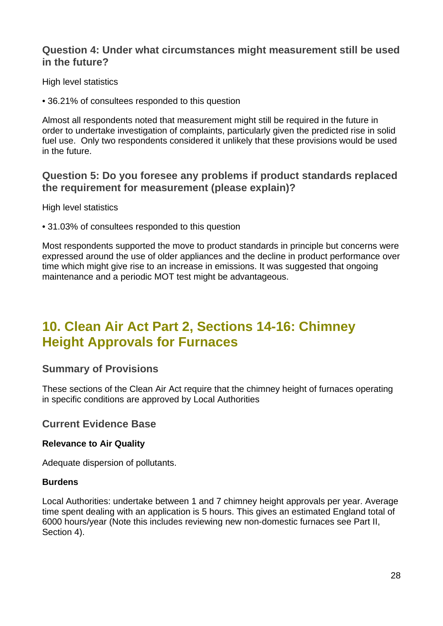## <span id="page-34-0"></span>**Question 4: Under what circumstances might measurement still be used in the future?**

High level statistics

• 36.21% of consultees responded to this question

Almost all respondents noted that measurement might still be required in the future in order to undertake investigation of complaints, particularly given the predicted rise in solid fuel use. Only two respondents considered it unlikely that these provisions would be used in the future.

## <span id="page-34-1"></span>**Question 5: Do you foresee any problems if product standards replaced the requirement for measurement (please explain)?**

High level statistics

• 31.03% of consultees responded to this question

Most respondents supported the move to product standards in principle but concerns were expressed around the use of older appliances and the decline in product performance over time which might give rise to an increase in emissions. It was suggested that ongoing maintenance and a periodic MOT test might be advantageous.

## <span id="page-34-2"></span>**10. Clean Air Act Part 2, Sections 14-16: Chimney Height Approvals for Furnaces**

## <span id="page-34-3"></span>**Summary of Provisions**

These sections of the Clean Air Act require that the chimney height of furnaces operating in specific conditions are approved by Local Authorities

#### <span id="page-34-4"></span>**Current Evidence Base**

#### **Relevance to Air Quality**

Adequate dispersion of pollutants.

#### **Burdens**

Local Authorities: undertake between 1 and 7 chimney height approvals per year. Average time spent dealing with an application is 5 hours. This gives an estimated England total of 6000 hours/year (Note this includes reviewing new non-domestic furnaces see Part II, Section 4).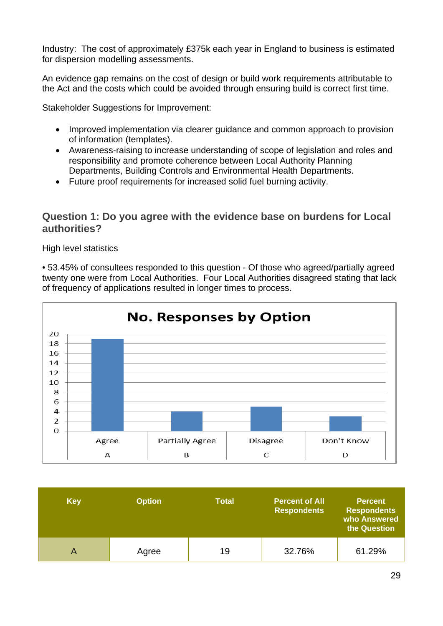Industry: The cost of approximately £375k each year in England to business is estimated for dispersion modelling assessments.

An evidence gap remains on the cost of design or build work requirements attributable to the Act and the costs which could be avoided through ensuring build is correct first time.

Stakeholder Suggestions for Improvement:

- Improved implementation via clearer guidance and common approach to provision of information (templates).
- Awareness-raising to increase understanding of scope of legislation and roles and responsibility and promote coherence between Local Authority Planning Departments, Building Controls and Environmental Health Departments.
- Future proof requirements for increased solid fuel burning activity.

### <span id="page-35-0"></span>**Question 1: Do you agree with the evidence base on burdens for Local authorities?**

High level statistics

• 53.45% of consultees responded to this question - Of those who agreed/partially agreed twenty one were from Local Authorities. Four Local Authorities disagreed stating that lack of frequency of applications resulted in longer times to process.



| <b>Key</b> | <b>Option</b> | <b>Total</b> | <b>Percent of All</b><br><b>Respondents</b> | <b>Percent</b><br><b>Respondents</b><br>who Answered<br>the Question |
|------------|---------------|--------------|---------------------------------------------|----------------------------------------------------------------------|
|            | Agree         | 19           | 32.76%                                      | 61.29%                                                               |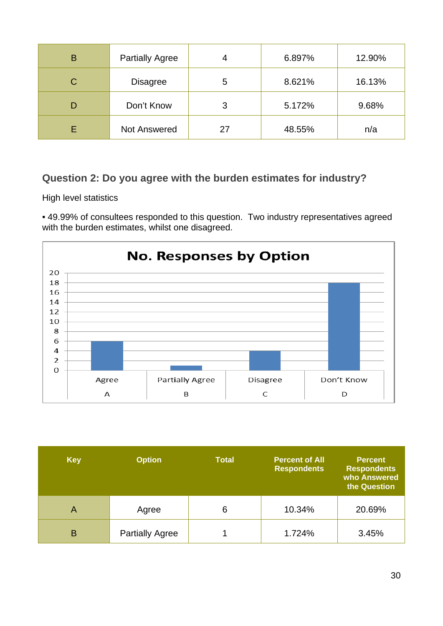| B | <b>Partially Agree</b> |    | 6.897% | 12.90% |
|---|------------------------|----|--------|--------|
| C | <b>Disagree</b>        | 5  | 8.621% | 16.13% |
|   | Don't Know             | 3  | 5.172% | 9.68%  |
|   | <b>Not Answered</b>    | 27 | 48.55% | n/a    |

## <span id="page-36-0"></span>**Question 2: Do you agree with the burden estimates for industry?**

High level statistics

• 49.99% of consultees responded to this question. Two industry representatives agreed with the burden estimates, whilst one disagreed.



| <b>Key</b> | <b>Option</b>          | <b>Total</b> | <b>Percent of All</b><br><b>Respondents</b> | <b>Percent</b><br><b>Respondents</b><br>who Answered<br>the Question |
|------------|------------------------|--------------|---------------------------------------------|----------------------------------------------------------------------|
| A          | Agree                  | 6            | 10.34%                                      | 20.69%                                                               |
| B          | <b>Partially Agree</b> |              | 1.724%                                      | 3.45%                                                                |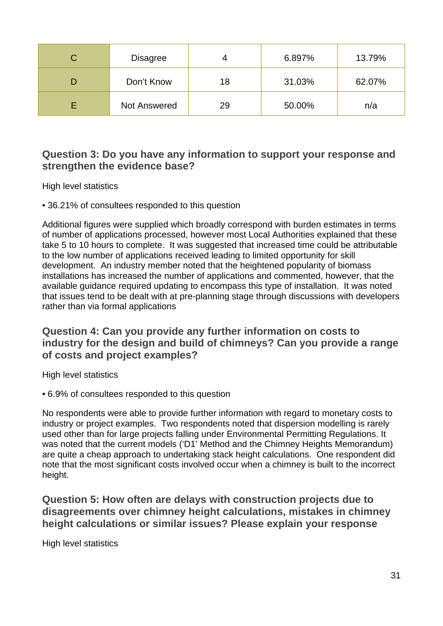| C. | <b>Disagree</b>     |    | 6.897% | 13.79% |
|----|---------------------|----|--------|--------|
|    | Don't Know          | 18 | 31.03% | 62.07% |
|    | <b>Not Answered</b> | 29 | 50.00% | n/a    |

## <span id="page-37-0"></span>**Question 3: Do you have any information to support your response and strengthen the evidence base?**

High level statistics

• 36.21% of consultees responded to this question

Additional figures were supplied which broadly correspond with burden estimates in terms of number of applications processed, however most Local Authorities explained that these take 5 to 10 hours to complete. It was suggested that increased time could be attributable to the low number of applications received leading to limited opportunity for skill development. An industry member noted that the heightened popularity of biomass installations has increased the number of applications and commented, however, that the available guidance required updating to encompass this type of installation. It was noted that issues tend to be dealt with at pre-planning stage through discussions with developers rather than via formal applications

## <span id="page-37-1"></span>**Question 4: Can you provide any further information on costs to industry for the design and build of chimneys? Can you provide a range of costs and project examples?**

High level statistics

• 6.9% of consultees responded to this question

No respondents were able to provide further information with regard to monetary costs to industry or project examples. Two respondents noted that dispersion modelling is rarely used other than for large projects falling under Environmental Permitting Regulations. It was noted that the current models ('D1' Method and the Chimney Heights Memorandum) are quite a cheap approach to undertaking stack height calculations. One respondent did note that the most significant costs involved occur when a chimney is built to the incorrect height.

<span id="page-37-2"></span>**Question 5: How often are delays with construction projects due to disagreements over chimney height calculations, mistakes in chimney height calculations or similar issues? Please explain your response**

High level statistics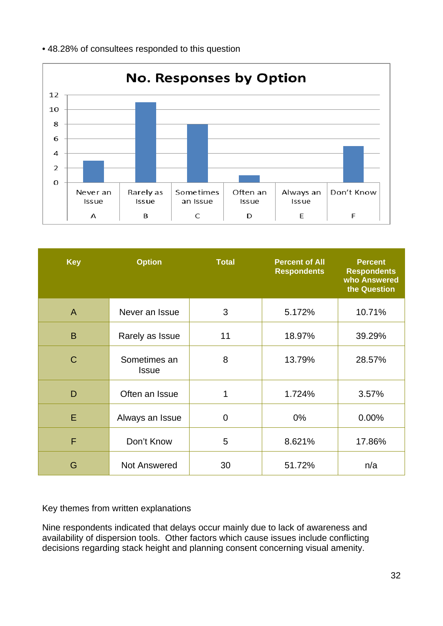

| <b>Key</b>   | <b>Option</b>                | <b>Total</b>   | <b>Percent of All</b><br><b>Respondents</b> | <b>Percent</b><br><b>Respondents</b><br>who Answered<br>the Question |
|--------------|------------------------------|----------------|---------------------------------------------|----------------------------------------------------------------------|
| $\mathsf{A}$ | Never an Issue               | 3              | 5.172%                                      | 10.71%                                                               |
| B            | Rarely as Issue              | 11             | 18.97%                                      | 39.29%                                                               |
| $\mathsf{C}$ | Sometimes an<br><b>Issue</b> | 8              | 13.79%                                      | 28.57%                                                               |
| D            | Often an Issue               | $\mathbf{1}$   | 1.724%                                      | 3.57%                                                                |
| E            | Always an Issue              | $\overline{0}$ | $0\%$                                       | $0.00\%$                                                             |
| F            | Don't Know                   | 5              | 8.621%                                      | 17.86%                                                               |
| G            | Not Answered                 | 30             | 51.72%                                      | n/a                                                                  |

Nine respondents indicated that delays occur mainly due to lack of awareness and availability of dispersion tools. Other factors which cause issues include conflicting decisions regarding stack height and planning consent concerning visual amenity.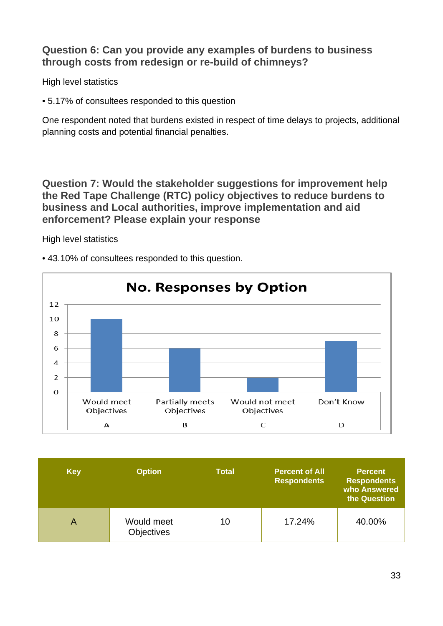## <span id="page-39-0"></span>**Question 6: Can you provide any examples of burdens to business through costs from redesign or re-build of chimneys?**

High level statistics

• 5.17% of consultees responded to this question

One respondent noted that burdens existed in respect of time delays to projects, additional planning costs and potential financial penalties.

<span id="page-39-1"></span>**Question 7: Would the stakeholder suggestions for improvement help the Red Tape Challenge (RTC) policy objectives to reduce burdens to business and Local authorities, improve implementation and aid enforcement? Please explain your response**

High level statistics



• 43.10% of consultees responded to this question.

| <b>Key</b> | <b>Option</b>                   | <b>Total</b> | <b>Percent of All</b><br><b>Respondents</b> | <b>Percent</b><br><b>Respondents</b><br>who Answered<br>the Question |
|------------|---------------------------------|--------------|---------------------------------------------|----------------------------------------------------------------------|
| Α          | Would meet<br><b>Objectives</b> | 10           | 17.24%                                      | 40.00%                                                               |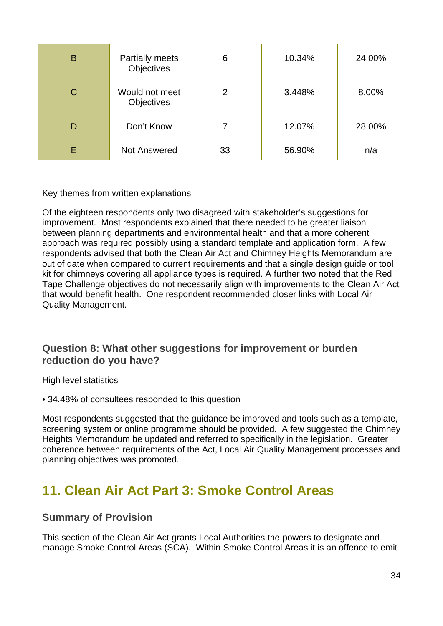| B | <b>Partially meets</b><br>Objectives | 6  | 10.34% | 24.00% |
|---|--------------------------------------|----|--------|--------|
| С | Would not meet<br>Objectives         | 2  | 3.448% | 8.00%  |
|   | Don't Know                           |    | 12.07% | 28.00% |
|   | <b>Not Answered</b>                  | 33 | 56.90% | n/a    |

Of the eighteen respondents only two disagreed with stakeholder's suggestions for improvement. Most respondents explained that there needed to be greater liaison between planning departments and environmental health and that a more coherent approach was required possibly using a standard template and application form. A few respondents advised that both the Clean Air Act and Chimney Heights Memorandum are out of date when compared to current requirements and that a single design guide or tool kit for chimneys covering all appliance types is required. A further two noted that the Red Tape Challenge objectives do not necessarily align with improvements to the Clean Air Act that would benefit health. One respondent recommended closer links with Local Air Quality Management.

## <span id="page-40-0"></span>**Question 8: What other suggestions for improvement or burden reduction do you have?**

High level statistics

• 34.48% of consultees responded to this question

Most respondents suggested that the guidance be improved and tools such as a template, screening system or online programme should be provided. A few suggested the Chimney Heights Memorandum be updated and referred to specifically in the legislation. Greater coherence between requirements of the Act, Local Air Quality Management processes and planning objectives was promoted.

## <span id="page-40-1"></span>**11. Clean Air Act Part 3: Smoke Control Areas**

## <span id="page-40-2"></span>**Summary of Provision**

This section of the Clean Air Act grants Local Authorities the powers to designate and manage Smoke Control Areas (SCA). Within Smoke Control Areas it is an offence to emit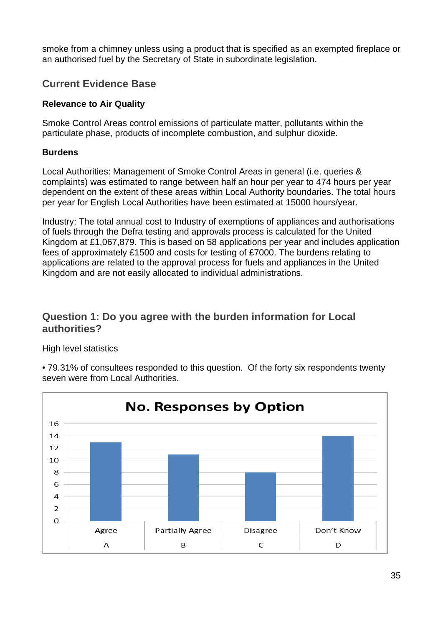smoke from a chimney unless using a product that is specified as an exempted fireplace or an authorised fuel by the Secretary of State in subordinate legislation.

## <span id="page-41-0"></span>**Current Evidence Base**

#### **Relevance to Air Quality**

Smoke Control Areas control emissions of particulate matter, pollutants within the particulate phase, products of incomplete combustion, and sulphur dioxide.

#### **Burdens**

Local Authorities: Management of Smoke Control Areas in general (i.e. queries & complaints) was estimated to range between half an hour per year to 474 hours per year dependent on the extent of these areas within Local Authority boundaries. The total hours per year for English Local Authorities have been estimated at 15000 hours/year.

Industry: The total annual cost to Industry of exemptions of appliances and authorisations of fuels through the Defra testing and approvals process is calculated for the United Kingdom at £1,067,879. This is based on 58 applications per year and includes application fees of approximately £1500 and costs for testing of £7000. The burdens relating to applications are related to the approval process for fuels and appliances in the United Kingdom and are not easily allocated to individual administrations.

## <span id="page-41-1"></span>**Question 1: Do you agree with the burden information for Local authorities?**

High level statistics

• 79.31% of consultees responded to this question. Of the forty six respondents twenty seven were from Local Authorities.

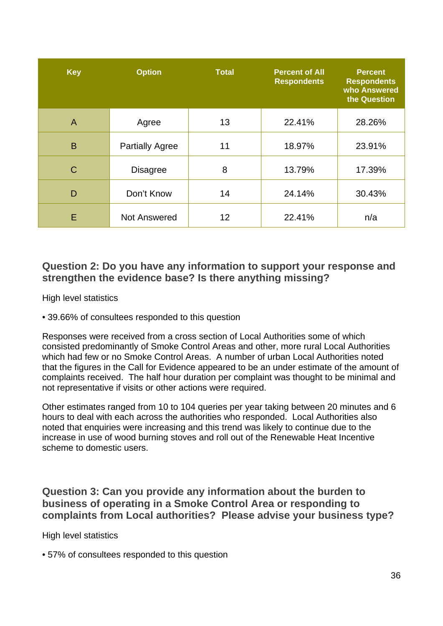| <b>Key</b> | <b>Option</b>          | <b>Total</b> | <b>Percent of All</b><br><b>Respondents</b> | <b>Percent</b><br><b>Respondents</b><br>who Answered<br>the Question |
|------------|------------------------|--------------|---------------------------------------------|----------------------------------------------------------------------|
| A          | Agree                  | 13           | 22.41%                                      | 28.26%                                                               |
| B          | <b>Partially Agree</b> | 11           | 18.97%                                      | 23.91%                                                               |
| C          | <b>Disagree</b>        | 8            | 13.79%                                      | 17.39%                                                               |
| D          | Don't Know             | 14           | 24.14%                                      | 30.43%                                                               |
| E          | <b>Not Answered</b>    | 12           | 22.41%                                      | n/a                                                                  |

## <span id="page-42-0"></span>**Question 2: Do you have any information to support your response and strengthen the evidence base? Is there anything missing?**

High level statistics

• 39.66% of consultees responded to this question

Responses were received from a cross section of Local Authorities some of which consisted predominantly of Smoke Control Areas and other, more rural Local Authorities which had few or no Smoke Control Areas. A number of urban Local Authorities noted that the figures in the Call for Evidence appeared to be an under estimate of the amount of complaints received. The half hour duration per complaint was thought to be minimal and not representative if visits or other actions were required.

Other estimates ranged from 10 to 104 queries per year taking between 20 minutes and 6 hours to deal with each across the authorities who responded. Local Authorities also noted that enquiries were increasing and this trend was likely to continue due to the increase in use of wood burning stoves and roll out of the Renewable Heat Incentive scheme to domestic users.

<span id="page-42-1"></span>**Question 3: Can you provide any information about the burden to business of operating in a Smoke Control Area or responding to complaints from Local authorities? Please advise your business type?**

High level statistics

• 57% of consultees responded to this question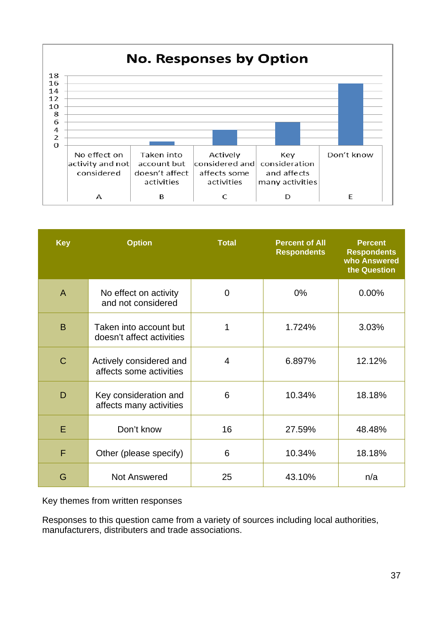

| <b>Key</b>   | <b>Option</b>                                       | <b>Total</b>   | <b>Percent of All</b><br><b>Respondents</b> | <b>Percent</b><br><b>Respondents</b><br>who Answered<br>the Question |
|--------------|-----------------------------------------------------|----------------|---------------------------------------------|----------------------------------------------------------------------|
| $\mathsf{A}$ | No effect on activity<br>and not considered         | $\overline{0}$ | $0\%$                                       | $0.00\%$                                                             |
| B            | Taken into account but<br>doesn't affect activities | 1              | 1.724%                                      | 3.03%                                                                |
| $\mathbf C$  | Actively considered and<br>affects some activities  | $\overline{4}$ | 6.897%                                      | 12.12%                                                               |
| D            | Key consideration and<br>affects many activities    | 6              | 10.34%                                      | 18.18%                                                               |
| E            | Don't know                                          | 16             | 27.59%                                      | 48.48%                                                               |
| F            | Other (please specify)                              | 6              | 10.34%                                      | 18.18%                                                               |
| G            | <b>Not Answered</b>                                 | 25             | 43.10%                                      | n/a                                                                  |

Key themes from written responses

Responses to this question came from a variety of sources including local authorities, manufacturers, distributers and trade associations.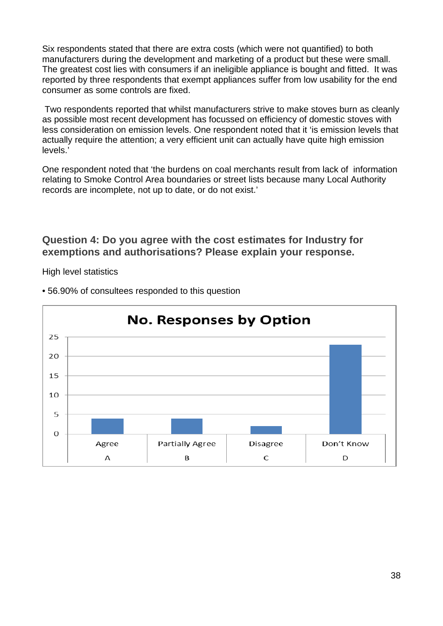Six respondents stated that there are extra costs (which were not quantified) to both manufacturers during the development and marketing of a product but these were small. The greatest cost lies with consumers if an ineligible appliance is bought and fitted. It was reported by three respondents that exempt appliances suffer from low usability for the end consumer as some controls are fixed.

Two respondents reported that whilst manufacturers strive to make stoves burn as cleanly as possible most recent development has focussed on efficiency of domestic stoves with less consideration on emission levels. One respondent noted that it 'is emission levels that actually require the attention; a very efficient unit can actually have quite high emission levels.'

One respondent noted that 'the burdens on coal merchants result from lack of information relating to Smoke Control Area boundaries or street lists because many Local Authority records are incomplete, not up to date, or do not exist.'

### <span id="page-44-0"></span>**Question 4: Do you agree with the cost estimates for Industry for exemptions and authorisations? Please explain your response.**

High level statistics



• 56.90% of consultees responded to this question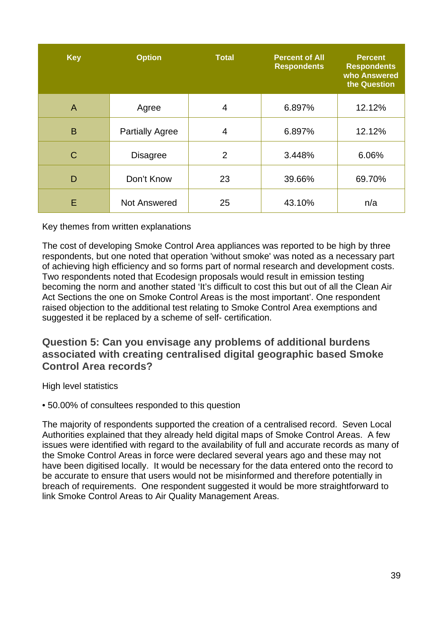| <b>Key</b>     | <b>Option</b>          | <b>Total</b>   | <b>Percent of All</b><br><b>Respondents</b> | <b>Percent</b><br><b>Respondents</b><br>who Answered<br>the Question |
|----------------|------------------------|----------------|---------------------------------------------|----------------------------------------------------------------------|
| $\overline{A}$ | Agree                  | 4              | 6.897%                                      | 12.12%                                                               |
| B              | <b>Partially Agree</b> | $\overline{4}$ | 6.897%                                      | 12.12%                                                               |
| C              | <b>Disagree</b>        | 2              | 3.448%                                      | 6.06%                                                                |
| D              | Don't Know             | 23             | 39.66%                                      | 69.70%                                                               |
| E              | <b>Not Answered</b>    | 25             | 43.10%                                      | n/a                                                                  |

The cost of developing Smoke Control Area appliances was reported to be high by three respondents, but one noted that operation 'without smoke' was noted as a necessary part of achieving high efficiency and so forms part of normal research and development costs. Two respondents noted that Ecodesign proposals would result in emission testing becoming the norm and another stated 'It's difficult to cost this but out of all the Clean Air Act Sections the one on Smoke Control Areas is the most important'. One respondent raised objection to the additional test relating to Smoke Control Area exemptions and suggested it be replaced by a scheme of self- certification.

<span id="page-45-0"></span>**Question 5: Can you envisage any problems of additional burdens associated with creating centralised digital geographic based Smoke Control Area records?**

High level statistics

• 50.00% of consultees responded to this question

The majority of respondents supported the creation of a centralised record. Seven Local Authorities explained that they already held digital maps of Smoke Control Areas. A few issues were identified with regard to the availability of full and accurate records as many of the Smoke Control Areas in force were declared several years ago and these may not have been digitised locally. It would be necessary for the data entered onto the record to be accurate to ensure that users would not be misinformed and therefore potentially in breach of requirements. One respondent suggested it would be more straightforward to link Smoke Control Areas to Air Quality Management Areas.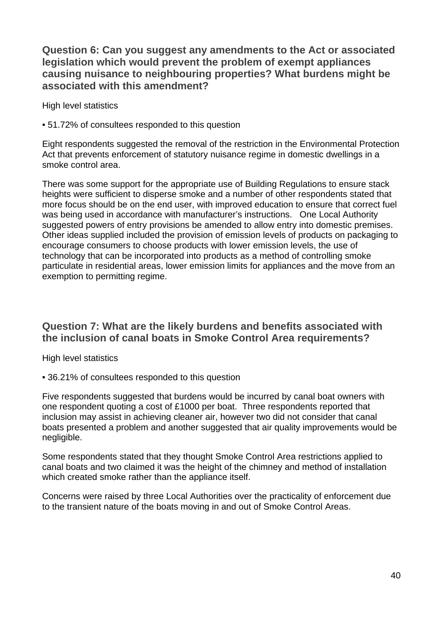## <span id="page-46-0"></span>**Question 6: Can you suggest any amendments to the Act or associated legislation which would prevent the problem of exempt appliances causing nuisance to neighbouring properties? What burdens might be associated with this amendment?**

High level statistics

• 51.72% of consultees responded to this question

Eight respondents suggested the removal of the restriction in the Environmental Protection Act that prevents enforcement of statutory nuisance regime in domestic dwellings in a smoke control area.

There was some support for the appropriate use of Building Regulations to ensure stack heights were sufficient to disperse smoke and a number of other respondents stated that more focus should be on the end user, with improved education to ensure that correct fuel was being used in accordance with manufacturer's instructions. One Local Authority suggested powers of entry provisions be amended to allow entry into domestic premises. Other ideas supplied included the provision of emission levels of products on packaging to encourage consumers to choose products with lower emission levels, the use of technology that can be incorporated into products as a method of controlling smoke particulate in residential areas, lower emission limits for appliances and the move from an exemption to permitting regime.

## <span id="page-46-1"></span>**Question 7: What are the likely burdens and benefits associated with the inclusion of canal boats in Smoke Control Area requirements?**

High level statistics

• 36.21% of consultees responded to this question

Five respondents suggested that burdens would be incurred by canal boat owners with one respondent quoting a cost of £1000 per boat. Three respondents reported that inclusion may assist in achieving cleaner air, however two did not consider that canal boats presented a problem and another suggested that air quality improvements would be negligible.

Some respondents stated that they thought Smoke Control Area restrictions applied to canal boats and two claimed it was the height of the chimney and method of installation which created smoke rather than the appliance itself.

Concerns were raised by three Local Authorities over the practicality of enforcement due to the transient nature of the boats moving in and out of Smoke Control Areas.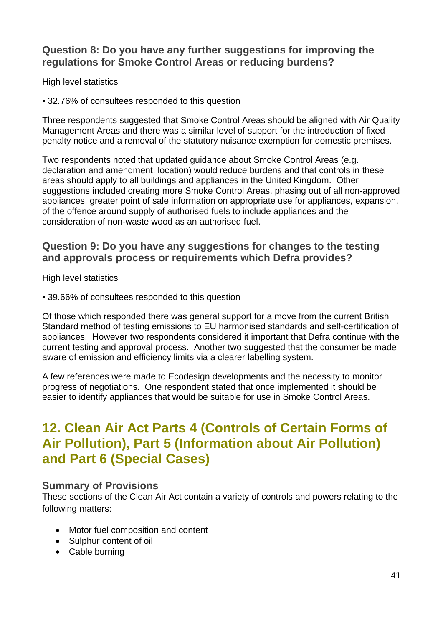## <span id="page-47-0"></span>**Question 8: Do you have any further suggestions for improving the regulations for Smoke Control Areas or reducing burdens?**

High level statistics

• 32.76% of consultees responded to this question

Three respondents suggested that Smoke Control Areas should be aligned with Air Quality Management Areas and there was a similar level of support for the introduction of fixed penalty notice and a removal of the statutory nuisance exemption for domestic premises.

Two respondents noted that updated guidance about Smoke Control Areas (e.g. declaration and amendment, location) would reduce burdens and that controls in these areas should apply to all buildings and appliances in the United Kingdom. Other suggestions included creating more Smoke Control Areas, phasing out of all non-approved appliances, greater point of sale information on appropriate use for appliances, expansion, of the offence around supply of authorised fuels to include appliances and the consideration of non-waste wood as an authorised fuel.

## <span id="page-47-1"></span>**Question 9: Do you have any suggestions for changes to the testing and approvals process or requirements which Defra provides?**

High level statistics

• 39.66% of consultees responded to this question

Of those which responded there was general support for a move from the current British Standard method of testing emissions to EU harmonised standards and self-certification of appliances. However two respondents considered it important that Defra continue with the current testing and approval process. Another two suggested that the consumer be made aware of emission and efficiency limits via a clearer labelling system.

A few references were made to Ecodesign developments and the necessity to monitor progress of negotiations. One respondent stated that once implemented it should be easier to identify appliances that would be suitable for use in Smoke Control Areas.

## <span id="page-47-2"></span>**12. Clean Air Act Parts 4 (Controls of Certain Forms of Air Pollution), Part 5 (Information about Air Pollution) and Part 6 (Special Cases)**

#### <span id="page-47-3"></span>**Summary of Provisions**

These sections of the Clean Air Act contain a variety of controls and powers relating to the following matters:

- Motor fuel composition and content
- Sulphur content of oil
- Cable burning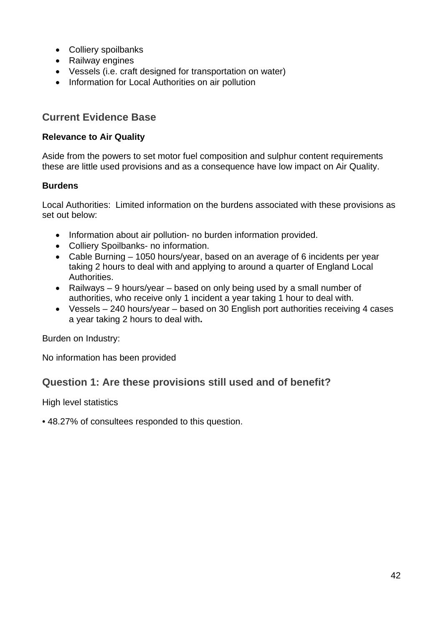- Colliery spoilbanks
- Railway engines
- Vessels (i.e. craft designed for transportation on water)
- Information for Local Authorities on air pollution

## <span id="page-48-0"></span>**Current Evidence Base**

#### **Relevance to Air Quality**

Aside from the powers to set motor fuel composition and sulphur content requirements these are little used provisions and as a consequence have low impact on Air Quality.

#### **Burdens**

Local Authorities: Limited information on the burdens associated with these provisions as set out below:

- Information about air pollution- no burden information provided.
- Colliery Spoilbanks- no information.
- Cable Burning 1050 hours/year, based on an average of 6 incidents per year taking 2 hours to deal with and applying to around a quarter of England Local Authorities.
- Railways 9 hours/year based on only being used by a small number of authorities, who receive only 1 incident a year taking 1 hour to deal with.
- Vessels 240 hours/year based on 30 English port authorities receiving 4 cases a year taking 2 hours to deal with**.**

Burden on Industry:

No information has been provided

## <span id="page-48-1"></span>**Question 1: Are these provisions still used and of benefit?**

High level statistics

• 48.27% of consultees responded to this question.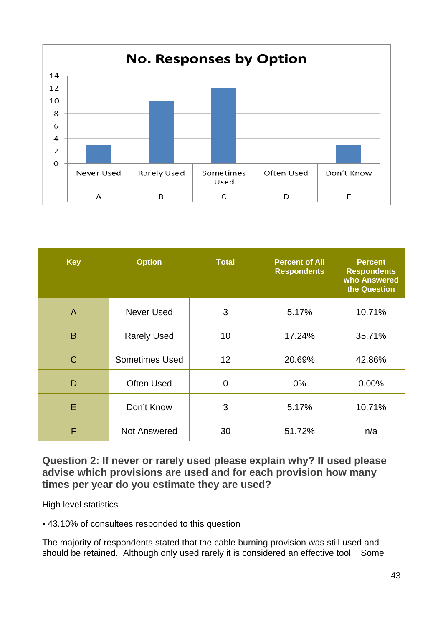

| <b>Key</b>     | <b>Option</b>         | <b>Total</b>   | <b>Percent of All</b><br><b>Respondents</b> | <b>Percent</b><br><b>Respondents</b><br>who Answered<br>the Question |
|----------------|-----------------------|----------------|---------------------------------------------|----------------------------------------------------------------------|
| $\overline{A}$ | Never Used            | 3              | 5.17%                                       | 10.71%                                                               |
| B              | <b>Rarely Used</b>    | 10             | 17.24%                                      | 35.71%                                                               |
| $\mathsf{C}$   | <b>Sometimes Used</b> | 12             | 20.69%                                      | 42.86%                                                               |
| D              | <b>Often Used</b>     | $\overline{0}$ | $0\%$                                       | 0.00%                                                                |
| E              | Don't Know            | 3              | 5.17%                                       | 10.71%                                                               |
| F              | <b>Not Answered</b>   | 30             | 51.72%                                      | n/a                                                                  |

<span id="page-49-0"></span>**Question 2: If never or rarely used please explain why? If used please advise which provisions are used and for each provision how many times per year do you estimate they are used?**

High level statistics

• 43.10% of consultees responded to this question

The majority of respondents stated that the cable burning provision was still used and should be retained. Although only used rarely it is considered an effective tool. Some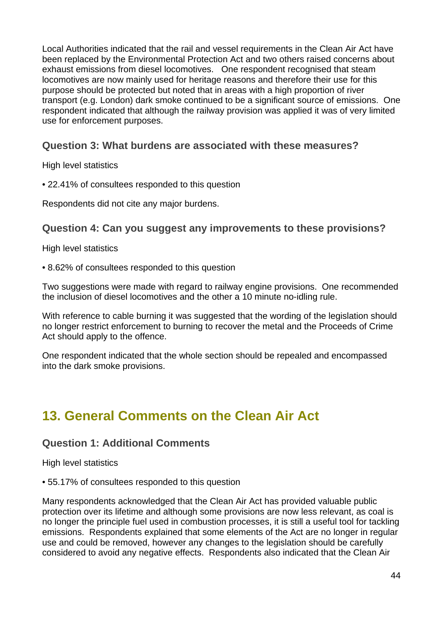Local Authorities indicated that the rail and vessel requirements in the Clean Air Act have been replaced by the Environmental Protection Act and two others raised concerns about exhaust emissions from diesel locomotives. One respondent recognised that steam locomotives are now mainly used for heritage reasons and therefore their use for this purpose should be protected but noted that in areas with a high proportion of river transport (e.g. London) dark smoke continued to be a significant source of emissions. One respondent indicated that although the railway provision was applied it was of very limited use for enforcement purposes.

## <span id="page-50-0"></span>**Question 3: What burdens are associated with these measures?**

High level statistics

• 22.41% of consultees responded to this question

Respondents did not cite any major burdens.

## <span id="page-50-1"></span>**Question 4: Can you suggest any improvements to these provisions?**

High level statistics

• 8.62% of consultees responded to this question

Two suggestions were made with regard to railway engine provisions. One recommended the inclusion of diesel locomotives and the other a 10 minute no-idling rule.

With reference to cable burning it was suggested that the wording of the legislation should no longer restrict enforcement to burning to recover the metal and the Proceeds of Crime Act should apply to the offence.

One respondent indicated that the whole section should be repealed and encompassed into the dark smoke provisions.

## <span id="page-50-2"></span>**13. General Comments on the Clean Air Act**

## <span id="page-50-3"></span>**Question 1: Additional Comments**

High level statistics

• 55.17% of consultees responded to this question

Many respondents acknowledged that the Clean Air Act has provided valuable public protection over its lifetime and although some provisions are now less relevant, as coal is no longer the principle fuel used in combustion processes, it is still a useful tool for tackling emissions. Respondents explained that some elements of the Act are no longer in regular use and could be removed, however any changes to the legislation should be carefully considered to avoid any negative effects. Respondents also indicated that the Clean Air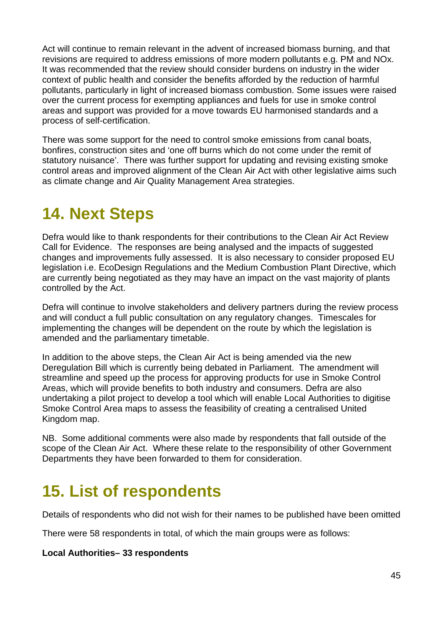Act will continue to remain relevant in the advent of increased biomass burning, and that revisions are required to address emissions of more modern pollutants e.g. PM and NOx. It was recommended that the review should consider burdens on industry in the wider context of public health and consider the benefits afforded by the reduction of harmful pollutants, particularly in light of increased biomass combustion. Some issues were raised over the current process for exempting appliances and fuels for use in smoke control areas and support was provided for a move towards EU harmonised standards and a process of self-certification.

There was some support for the need to control smoke emissions from canal boats, bonfires, construction sites and 'one off burns which do not come under the remit of statutory nuisance'. There was further support for updating and revising existing smoke control areas and improved alignment of the Clean Air Act with other legislative aims such as climate change and Air Quality Management Area strategies.

# <span id="page-51-0"></span>**14. Next Steps**

Defra would like to thank respondents for their contributions to the Clean Air Act Review Call for Evidence. The responses are being analysed and the impacts of suggested changes and improvements fully assessed. It is also necessary to consider proposed EU legislation i.e. EcoDesign Regulations and the Medium Combustion Plant Directive, which are currently being negotiated as they may have an impact on the vast majority of plants controlled by the Act.

Defra will continue to involve stakeholders and delivery partners during the review process and will conduct a full public consultation on any regulatory changes. Timescales for implementing the changes will be dependent on the route by which the legislation is amended and the parliamentary timetable.

In addition to the above steps, the Clean Air Act is being amended via the new Deregulation Bill which is currently being debated in Parliament. The amendment will streamline and speed up the process for approving products for use in Smoke Control Areas, which will provide benefits to both industry and consumers. Defra are also undertaking a pilot project to develop a tool which will enable Local Authorities to digitise Smoke Control Area maps to assess the feasibility of creating a centralised United Kingdom map.

NB. Some additional comments were also made by respondents that fall outside of the scope of the Clean Air Act. Where these relate to the responsibility of other Government Departments they have been forwarded to them for consideration.

# <span id="page-51-1"></span>**15. List of respondents**

Details of respondents who did not wish for their names to be published have been omitted

There were 58 respondents in total, of which the main groups were as follows:

#### **Local Authorities– 33 respondents**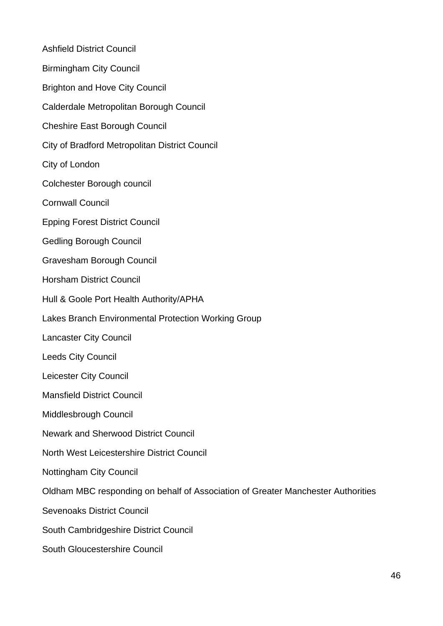Ashfield District Council Birmingham City Council Brighton and Hove City Council Calderdale Metropolitan Borough Council Cheshire East Borough Council City of Bradford Metropolitan District Council City of London Colchester Borough council Cornwall Council Epping Forest District Council Gedling Borough Council Gravesham Borough Council Horsham District Council Hull & Goole Port Health Authority/APHA Lakes Branch Environmental Protection Working Group Lancaster City Council Leeds City Council Leicester City Council Mansfield District Council Middlesbrough Council Newark and Sherwood District Council North West Leicestershire District Council Nottingham City Council Oldham MBC responding on behalf of Association of Greater Manchester Authorities Sevenoaks District Council South Cambridgeshire District Council South Gloucestershire Council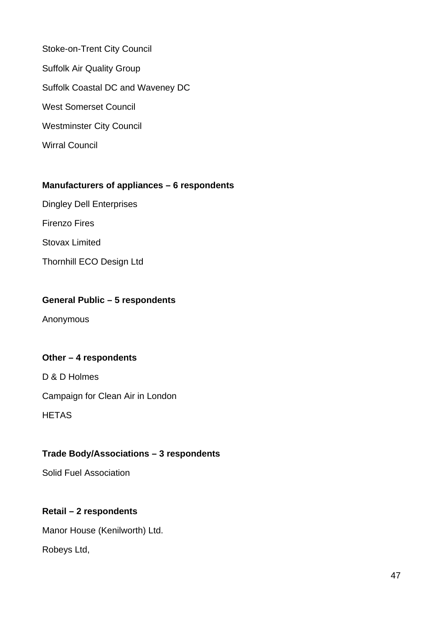Stoke-on-Trent City Council Suffolk Air Quality Group Suffolk Coastal DC and Waveney DC West Somerset Council Westminster City Council Wirral Council

#### **Manufacturers of appliances – 6 respondents**

Dingley Dell Enterprises Firenzo Fires

Stovax Limited

Thornhill ECO Design Ltd

## **General Public – 5 respondents**

Anonymous

#### **Other – 4 respondents**

D & D Holmes Campaign for Clean Air in London **HETAS** 

#### **Trade Body/Associations – 3 respondents**

Solid Fuel Association

## **Retail – 2 respondents**

Manor House (Kenilworth) Ltd.

Robeys Ltd,